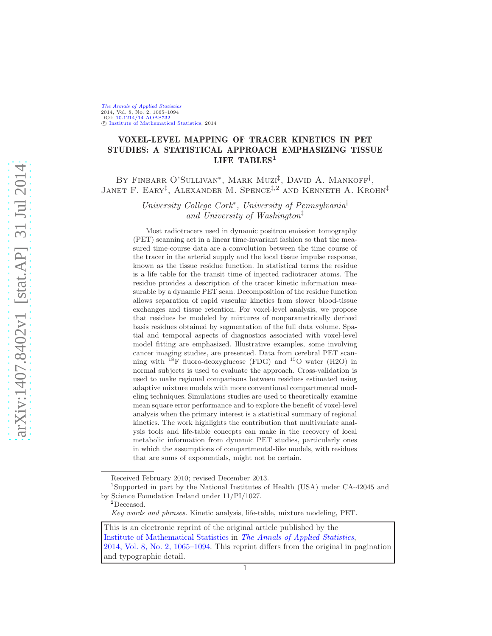[The Annals of Applied Statistics](http://www.imstat.org/aoas/) 2014, Vol. 8, No. 2, 1065–1094 DOI: [10.1214/14-AOAS732](http://dx.doi.org/10.1214/14-AOAS732) c [Institute of Mathematical Statistics,](http://www.imstat.org) 2014

# VOXEL-LEVEL MAPPING OF TRACER KINETICS IN PET STUDIES: A STATISTICAL APPROACH EMPHASIZING TISSUE LIFE TABLES<sup>1</sup>

BY FINBARR O'SULLIVAN<sup>\*</sup>, MARK MUZI<sup>‡</sup>, DAVID A. MANKOFF<sup>†</sup>, JANET F. EARY<sup>‡</sup>, ALEXANDER M. SPENCE<sup>‡,2</sup> AND KENNETH A. KROHN<sup>‡</sup>

> University College Cork<sup>∗</sup> , University of Pennsylvania† and University of Washington‡

Most radiotracers used in dynamic positron emission tomography (PET) scanning act in a linear time-invariant fashion so that the measured time-course data are a convolution between the time course of the tracer in the arterial supply and the local tissue impulse response, known as the tissue residue function. In statistical terms the residue is a life table for the transit time of injected radiotracer atoms. The residue provides a description of the tracer kinetic information measurable by a dynamic PET scan. Decomposition of the residue function allows separation of rapid vascular kinetics from slower blood-tissue exchanges and tissue retention. For voxel-level analysis, we propose that residues be modeled by mixtures of nonparametrically derived basis residues obtained by segmentation of the full data volume. Spatial and temporal aspects of diagnostics associated with voxel-level model fitting are emphasized. Illustrative examples, some involving cancer imaging studies, are presented. Data from cerebral PET scanning with  $^{18}$ F fluoro-deoxyglucose (FDG) and  $^{15}$ O water (H2O) in normal subjects is used to evaluate the approach. Cross-validation is used to make regional comparisons between residues estimated using adaptive mixture models with more conventional compartmental modeling techniques. Simulations studies are used to theoretically examine mean square error performance and to explore the benefit of voxel-level analysis when the primary interest is a statistical summary of regional kinetics. The work highlights the contribution that multivariate analysis tools and life-table concepts can make in the recovery of local metabolic information from dynamic PET studies, particularly ones in which the assumptions of compartmental-like models, with residues that are sums of exponentials, might not be certain.

<sup>2</sup>Deceased.

Received February 2010; revised December 2013.

<sup>1</sup> Supported in part by the National Institutes of Health (USA) under CA-42045 and by Science Foundation Ireland under 11/PI/1027.

Key words and phrases. Kinetic analysis, life-table, mixture modeling, PET.

This is an electronic reprint of the original article published by the [Institute of Mathematical Statistics](http://www.imstat.org) in [The Annals of Applied Statistics](http://www.imstat.org/aoas/), [2014, Vol. 8, No. 2, 1065–1094.](http://dx.doi.org/10.1214/14-AOAS732) This reprint differs from the original in pagination and typographic detail.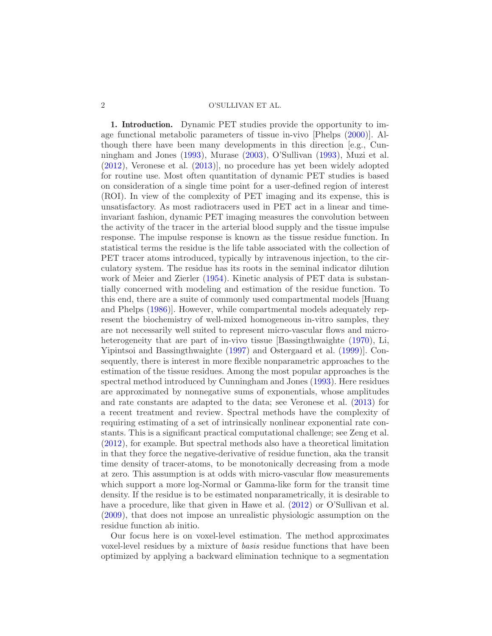1. Introduction. Dynamic PET studies provide the opportunity to image functional metabolic parameters of tissue in-vivo [Phelps [\(2000](#page-29-0))]. Although there have been many developments in this direction [e.g., Cunningham and Jones [\(1993](#page-27-0)), Murase [\(2003](#page-29-1)), O'Sullivan [\(1993](#page-29-2)), Muzi et al. [\(2012\)](#page-29-3), Veronese et al. [\(2013](#page-30-0))], no procedure has yet been widely adopted for routine use. Most often quantitation of dynamic PET studies is based on consideration of a single time point for a user-defined region of interest (ROI). In view of the complexity of PET imaging and its expense, this is unsatisfactory. As most radiotracers used in PET act in a linear and timeinvariant fashion, dynamic PET imaging measures the convolution between the activity of the tracer in the arterial blood supply and the tissue impulse response. The impulse response is known as the tissue residue function. In statistical terms the residue is the life table associated with the collection of PET tracer atoms introduced, typically by intravenous injection, to the circulatory system. The residue has its roots in the seminal indicator dilution work of Meier and Zierler [\(1954](#page-29-4)). Kinetic analysis of PET data is substantially concerned with modeling and estimation of the residue function. To this end, there are a suite of commonly used compartmental models [Huang and Phelps [\(1986](#page-28-0))]. However, while compartmental models adequately represent the biochemistry of well-mixed homogeneous in-vitro samples, they are not necessarily well suited to represent micro-vascular flows and micro-heterogeneity that are part of in-vivo tissue [Bassingthwaighte [\(1970\)](#page-27-1), Li, Yipintsoi and Bassingthwaighte [\(1997](#page-28-1)) and Ostergaard et al. [\(1999](#page-29-5))]. Consequently, there is interest in more flexible nonparametric approaches to the estimation of the tissue residues. Among the most popular approaches is the spectral method introduced by Cunningham and Jones [\(1993\)](#page-27-0). Here residues are approximated by nonnegative sums of exponentials, whose amplitudes and rate constants are adapted to the data; see Veronese et al. [\(2013\)](#page-30-0) for a recent treatment and review. Spectral methods have the complexity of requiring estimating of a set of intrinsically nonlinear exponential rate constants. This is a significant practical computational challenge; see Zeng et al. [\(2012\)](#page-30-1), for example. But spectral methods also have a theoretical limitation in that they force the negative-derivative of residue function, aka the transit time density of tracer-atoms, to be monotonically decreasing from a mode at zero. This assumption is at odds with micro-vascular flow measurements which support a more log-Normal or Gamma-like form for the transit time density. If the residue is to be estimated nonparametrically, it is desirable to have a procedure, like that given in Hawe et al. [\(2012](#page-28-2)) or O'Sullivan et al. [\(2009\)](#page-29-6), that does not impose an unrealistic physiologic assumption on the residue function ab initio.

Our focus here is on voxel-level estimation. The method approximates voxel-level residues by a mixture of basis residue functions that have been optimized by applying a backward elimination technique to a segmentation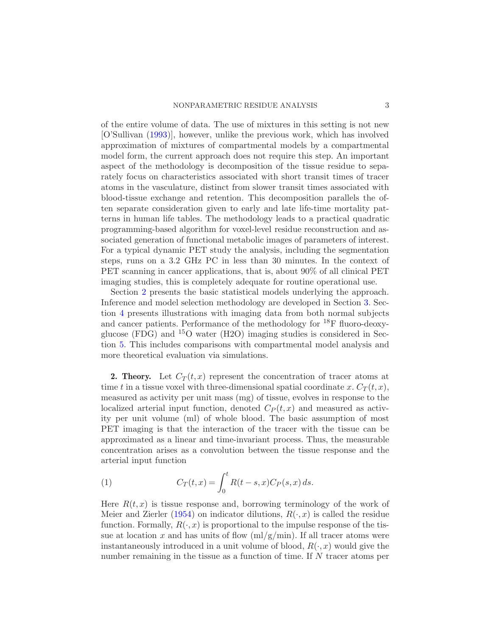of the entire volume of data. The use of mixtures in this setting is not new [O'Sullivan [\(1993](#page-29-2))], however, unlike the previous work, which has involved approximation of mixtures of compartmental models by a compartmental model form, the current approach does not require this step. An important aspect of the methodology is decomposition of the tissue residue to separately focus on characteristics associated with short transit times of tracer atoms in the vasculature, distinct from slower transit times associated with blood-tissue exchange and retention. This decomposition parallels the often separate consideration given to early and late life-time mortality patterns in human life tables. The methodology leads to a practical quadratic programming-based algorithm for voxel-level residue reconstruction and associated generation of functional metabolic images of parameters of interest. For a typical dynamic PET study the analysis, including the segmentation steps, runs on a 3.2 GHz PC in less than 30 minutes. In the context of PET scanning in cancer applications, that is, about 90% of all clinical PET imaging studies, this is completely adequate for routine operational use.

Section [2](#page-2-0) presents the basic statistical models underlying the approach. Inference and model selection methodology are developed in Section [3.](#page-6-0) Section [4](#page-11-0) presents illustrations with imaging data from both normal subjects and cancer patients. Performance of the methodology for  $^{18}$ F fluoro-deoxyglucose (FDG) and  $^{15}O$  water (H2O) imaging studies is considered in Section [5.](#page-18-0) This includes comparisons with compartmental model analysis and more theoretical evaluation via simulations.

<span id="page-2-0"></span>**2. Theory.** Let  $C_T(t, x)$  represent the concentration of tracer atoms at time t in a tissue voxel with three-dimensional spatial coordinate x.  $C_T(t, x)$ , measured as activity per unit mass (mg) of tissue, evolves in response to the localized arterial input function, denoted  $C_P(t, x)$  and measured as activity per unit volume (ml) of whole blood. The basic assumption of most PET imaging is that the interaction of the tracer with the tissue can be approximated as a linear and time-invariant process. Thus, the measurable concentration arises as a convolution between the tissue response and the arterial input function

<span id="page-2-1"></span>(1) 
$$
C_T(t,x) = \int_0^t R(t-s,x)C_P(s,x)\,ds.
$$

Here  $R(t, x)$  is tissue response and, borrowing terminology of the work of Meier and Zierler [\(1954](#page-29-4)) on indicator dilutions,  $R(\cdot, x)$  is called the residue function. Formally,  $R(\cdot, x)$  is proportional to the impulse response of the tissue at location x and has units of flow  $(m/g/min)$ . If all tracer atoms were instantaneously introduced in a unit volume of blood,  $R(\cdot, x)$  would give the number remaining in the tissue as a function of time. If N tracer atoms per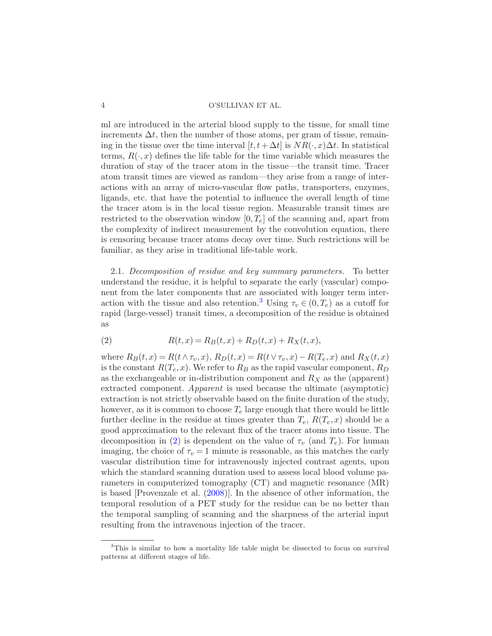ml are introduced in the arterial blood supply to the tissue, for small time increments  $\Delta t$ , then the number of those atoms, per gram of tissue, remaining in the tissue over the time interval  $[t, t + \Delta t]$  is  $NR(\cdot, x)\Delta t$ . In statistical terms,  $R(\cdot, x)$  defines the life table for the time variable which measures the duration of stay of the tracer atom in the tissue—the transit time. Tracer atom transit times are viewed as random—they arise from a range of interactions with an array of micro-vascular flow paths, transporters, enzymes, ligands, etc. that have the potential to influence the overall length of time the tracer atom is in the local tissue region. Measurable transit times are restricted to the observation window  $[0, T_e]$  of the scanning and, apart from the complexity of indirect measurement by the convolution equation, there is censoring because tracer atoms decay over time. Such restrictions will be familiar, as they arise in traditional life-table work.

<span id="page-3-2"></span>2.1. Decomposition of residue and key summary parameters. To better understand the residue, it is helpful to separate the early (vascular) component from the later components that are associated with longer term inter-action with the tissue and also retention.<sup>[3](#page-3-0)</sup> Using  $\tau_v \in (0, T_e)$  as a cutoff for rapid (large-vessel) transit times, a decomposition of the residue is obtained as

<span id="page-3-1"></span>(2) 
$$
R(t,x) = R_B(t,x) + R_D(t,x) + R_X(t,x),
$$

where  $R_B(t, x) = R(t \wedge \tau_v, x), R_D(t, x) = R(t \vee \tau_v, x) - R(T_e, x)$  and  $R_X(t, x)$ is the constant  $R(T_e, x)$ . We refer to  $R_B$  as the rapid vascular component,  $R_D$ as the exchangeable or in-distribution component and  $R_X$  as the (apparent) extracted component. Apparent is used because the ultimate (asymptotic) extraction is not strictly observable based on the finite duration of the study, however, as it is common to choose  $T_e$  large enough that there would be little further decline in the residue at times greater than  $T_e$ ,  $R(T_e, x)$  should be a good approximation to the relevant flux of the tracer atoms into tissue. The decomposition in [\(2\)](#page-3-1) is dependent on the value of  $\tau_v$  (and  $T_e$ ). For human imaging, the choice of  $\tau_v = 1$  minute is reasonable, as this matches the early vascular distribution time for intravenously injected contrast agents, upon which the standard scanning duration used to assess local blood volume parameters in computerized tomography (CT) and magnetic resonance (MR) is based [Provenzale et al. [\(2008](#page-29-7))]. In the absence of other information, the temporal resolution of a PET study for the residue can be no better than the temporal sampling of scanning and the sharpness of the arterial input resulting from the intravenous injection of the tracer.

<span id="page-3-0"></span><sup>&</sup>lt;sup>3</sup>This is similar to how a mortality life table might be dissected to focus on survival patterns at different stages of life.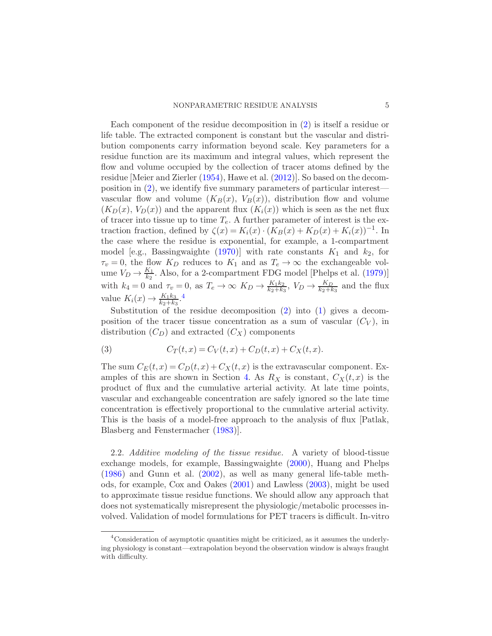Each component of the residue decomposition in [\(2\)](#page-3-1) is itself a residue or life table. The extracted component is constant but the vascular and distribution components carry information beyond scale. Key parameters for a residue function are its maximum and integral values, which represent the flow and volume occupied by the collection of tracer atoms defined by the residue [Meier and Zierler [\(1954](#page-29-4)), Hawe et al. [\(2012](#page-28-2))]. So based on the decomposition in [\(2\)](#page-3-1), we identify five summary parameters of particular interest vascular flow and volume  $(K_B(x), V_B(x))$ , distribution flow and volume  $(K_D(x), V_D(x))$  and the apparent flux  $(K_i(x))$  which is seen as the net flux of tracer into tissue up to time  $T_e$ . A further parameter of interest is the extraction fraction, defined by  $\zeta(x) = K_i(x) \cdot (K_B(x) + K_D(x) + K_i(x))^{-1}$ . In the case where the residue is exponential, for example, a 1-compartment model [e.g., Bassingwaighte [\(1970](#page-27-1))] with rate constants  $K_1$  and  $k_2$ , for  $\tau_v = 0$ , the flow  $K_D$  reduces to  $K_1$  and as  $T_e \to \infty$  the exchangeable volume  $V_D \rightarrow \frac{K_1}{k_2}$ . Also, for a 2-compartment FDG model [Phelps et al. [\(1979](#page-29-8))] with  $k_4 = 0$  and  $\tau_v = 0$ , as  $T_e \to \infty$   $K_D \to \frac{K_1 k_2}{k_2 + k_3}$ ,  $V_D \to \frac{K_D}{k_2 + k_3}$  and the flux value  $K_i(x) \to \frac{K_1 k_3}{k_2 + k_3}$ .<sup>[4](#page-4-0)</sup>

Substitution of the residue decomposition [\(2\)](#page-3-1) into [\(1\)](#page-2-1) gives a decomposition of the tracer tissue concentration as a sum of vascular  $(C_V)$ , in distribution  $(C_D)$  and extracted  $(C_X)$  components

<span id="page-4-1"></span>(3) 
$$
C_T(t,x) = C_V(t,x) + C_D(t,x) + C_X(t,x).
$$

The sum  $C_E(t, x) = C_D(t, x) + C_X(t, x)$  is the extravascular component. Ex-amples of this are shown in Section [4.](#page-11-0) As  $R_X$  is constant,  $C_X(t,x)$  is the product of flux and the cumulative arterial activity. At late time points, vascular and exchangeable concentration are safely ignored so the late time concentration is effectively proportional to the cumulative arterial activity. This is the basis of a model-free approach to the analysis of flux [Patlak, Blasberg and Fenstermacher [\(1983\)](#page-29-9)].

2.2. Additive modeling of the tissue residue. A variety of blood-tissue exchange models, for example, Bassingwaighte [\(2000](#page-27-2)), Huang and Phelps [\(1986\)](#page-28-0) and Gunn et al. [\(2002](#page-28-3)), as well as many general life-table methods, for example, Cox and Oakes [\(2001](#page-27-3)) and Lawless [\(2003](#page-28-4)), might be used to approximate tissue residue functions. We should allow any approach that does not systematically misrepresent the physiologic/metabolic processes involved. Validation of model formulations for PET tracers is difficult. In-vitro

<span id="page-4-0"></span><sup>4</sup>Consideration of asymptotic quantities might be criticized, as it assumes the underlying physiology is constant—extrapolation beyond the observation window is always fraught with difficulty.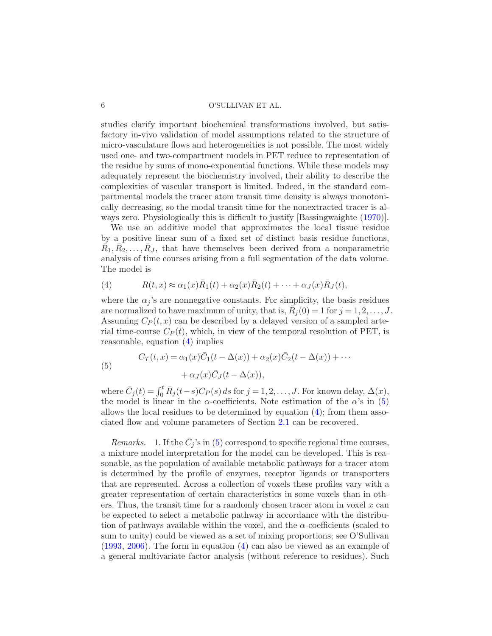studies clarify important biochemical transformations involved, but satisfactory in-vivo validation of model assumptions related to the structure of micro-vasculature flows and heterogeneities is not possible. The most widely used one- and two-compartment models in PET reduce to representation of the residue by sums of mono-exponential functions. While these models may adequately represent the biochemistry involved, their ability to describe the complexities of vascular transport is limited. Indeed, in the standard compartmental models the tracer atom transit time density is always monotonically decreasing, so the modal transit time for the nonextracted tracer is always zero. Physiologically this is difficult to justify [Bassingwaighte [\(1970](#page-27-1))].

We use an additive model that approximates the local tissue residue by a positive linear sum of a fixed set of distinct basis residue functions,  $\overline{R}_1, \overline{R}_2, \ldots, \overline{R}_J$ , that have themselves been derived from a nonparametric analysis of time courses arising from a full segmentation of the data volume. The model is

<span id="page-5-0"></span>(4) 
$$
R(t,x) \approx \alpha_1(x)\overline{R}_1(t) + \alpha_2(x)\overline{R}_2(t) + \cdots + \alpha_J(x)\overline{R}_J(t),
$$

where the  $\alpha_j$ 's are nonnegative constants. For simplicity, the basis residues are normalized to have maximum of unity, that is,  $\overline{R}_j(0) = 1$  for  $j = 1, 2, \ldots, J$ . Assuming  $C_P(t, x)$  can be described by a delayed version of a sampled arterial time-course  $C_P(t)$ , which, in view of the temporal resolution of PET, is reasonable, equation  $(4)$  implies

<span id="page-5-1"></span>(5) 
$$
C_T(t,x) = \alpha_1(x)\overline{C}_1(t-\Delta(x)) + \alpha_2(x)\overline{C}_2(t-\Delta(x)) + \cdots + \alpha_J(x)\overline{C}_J(t-\Delta(x)),
$$

where  $\bar{C}_j(t) = \int_0^t \bar{R}_j(t-s)C_P(s) ds$  for  $j = 1, 2, ..., J$ . For known delay,  $\Delta(x)$ , the model is linear in the  $\alpha$ -coefficients. Note estimation of the  $\alpha$ 's in [\(5\)](#page-5-1) allows the local residues to be determined by equation [\(4\)](#page-5-0); from them associated flow and volume parameters of Section [2.1](#page-3-2) can be recovered.

Remarks. 1. If the  $\overline{C}_j$ 's in [\(5\)](#page-5-1) correspond to specific regional time courses, a mixture model interpretation for the model can be developed. This is reasonable, as the population of available metabolic pathways for a tracer atom is determined by the profile of enzymes, receptor ligands or transporters that are represented. Across a collection of voxels these profiles vary with a greater representation of certain characteristics in some voxels than in others. Thus, the transit time for a randomly chosen tracer atom in voxel  $x$  can be expected to select a metabolic pathway in accordance with the distribution of pathways available within the voxel, and the  $\alpha$ -coefficients (scaled to sum to unity) could be viewed as a set of mixing proportions; see O'Sullivan [\(1993,](#page-29-2) [2006](#page-29-10)). The form in equation [\(4\)](#page-5-0) can also be viewed as an example of a general multivariate factor analysis (without reference to residues). Such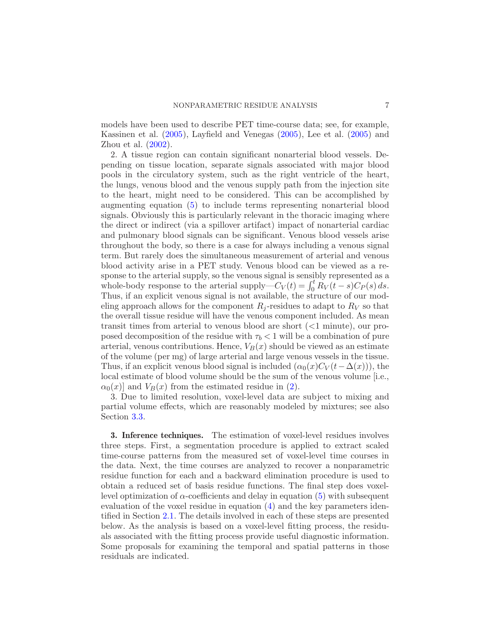models have been used to describe PET time-course data; see, for example, Kassinen et al. [\(2005](#page-28-5)), Layfield and Venegas [\(2005](#page-28-6)), Lee et al. [\(2005](#page-28-7)) and Zhou et al. [\(2002](#page-30-2)).

2. A tissue region can contain significant nonarterial blood vessels. Depending on tissue location, separate signals associated with major blood pools in the circulatory system, such as the right ventricle of the heart, the lungs, venous blood and the venous supply path from the injection site to the heart, might need to be considered. This can be accomplished by augmenting equation [\(5\)](#page-5-1) to include terms representing nonarterial blood signals. Obviously this is particularly relevant in the thoracic imaging where the direct or indirect (via a spillover artifact) impact of nonarterial cardiac and pulmonary blood signals can be significant. Venous blood vessels arise throughout the body, so there is a case for always including a venous signal term. But rarely does the simultaneous measurement of arterial and venous blood activity arise in a PET study. Venous blood can be viewed as a response to the arterial supply, so the venous signal is sensibly represented as a whole-body response to the arterial supply— $C_V(t) = \int_0^t R_V(t-s)C_P(s) ds$ . Thus, if an explicit venous signal is not available, the structure of our modeling approach allows for the component  $R_i$ -residues to adapt to  $R_V$  so that the overall tissue residue will have the venous component included. As mean transit times from arterial to venous blood are short  $\left($  < 1 minute), our proposed decomposition of the residue with  $\tau_b < 1$  will be a combination of pure arterial, venous contributions. Hence,  $V_B(x)$  should be viewed as an estimate of the volume (per mg) of large arterial and large venous vessels in the tissue. Thus, if an explicit venous blood signal is included  $(\alpha_0(x)C_V(t-\Delta(x)))$ , the local estimate of blood volume should be the sum of the venous volume [i.e.,  $\alpha_0(x)$  and  $V_B(x)$  from the estimated residue in [\(2\)](#page-3-1).

3. Due to limited resolution, voxel-level data are subject to mixing and partial volume effects, which are reasonably modeled by mixtures; see also Section [3.3.](#page-9-0)

<span id="page-6-0"></span>**3. Inference techniques.** The estimation of voxel-level residues involves three steps. First, a segmentation procedure is applied to extract scaled time-course patterns from the measured set of voxel-level time courses in the data. Next, the time courses are analyzed to recover a nonparametric residue function for each and a backward elimination procedure is used to obtain a reduced set of basis residue functions. The final step does voxellevel optimization of  $\alpha$ -coefficients and delay in equation [\(5\)](#page-5-1) with subsequent evaluation of the voxel residue in equation [\(4\)](#page-5-0) and the key parameters identified in Section [2.1.](#page-3-2) The details involved in each of these steps are presented below. As the analysis is based on a voxel-level fitting process, the residuals associated with the fitting process provide useful diagnostic information. Some proposals for examining the temporal and spatial patterns in those residuals are indicated.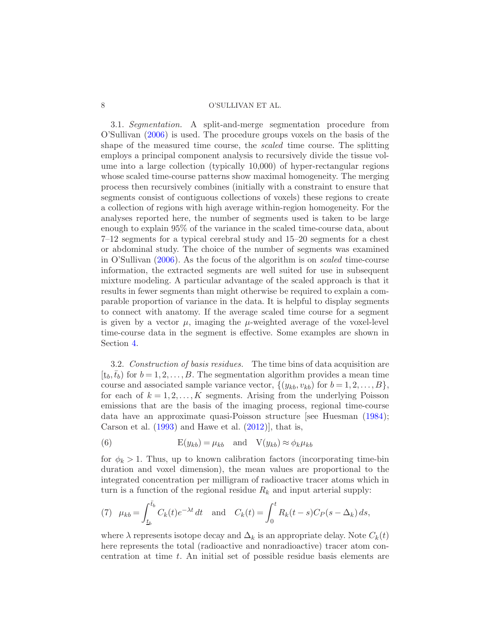<span id="page-7-3"></span>3.1. Segmentation. A split-and-merge segmentation procedure from O'Sullivan [\(2006](#page-29-10)) is used. The procedure groups voxels on the basis of the shape of the measured time course, the scaled time course. The splitting employs a principal component analysis to recursively divide the tissue volume into a large collection (typically 10,000) of hyper-rectangular regions whose scaled time-course patterns show maximal homogeneity. The merging process then recursively combines (initially with a constraint to ensure that segments consist of contiguous collections of voxels) these regions to create a collection of regions with high average within-region homogeneity. For the analyses reported here, the number of segments used is taken to be large enough to explain 95% of the variance in the scaled time-course data, about 7–12 segments for a typical cerebral study and 15–20 segments for a chest or abdominal study. The choice of the number of segments was examined in O'Sullivan [\(2006](#page-29-10)). As the focus of the algorithm is on scaled time-course information, the extracted segments are well suited for use in subsequent mixture modeling. A particular advantage of the scaled approach is that it results in fewer segments than might otherwise be required to explain a comparable proportion of variance in the data. It is helpful to display segments to connect with anatomy. If the average scaled time course for a segment is given by a vector  $\mu$ , imaging the  $\mu$ -weighted average of the voxel-level time-course data in the segment is effective. Some examples are shown in Section [4.](#page-11-0)

<span id="page-7-2"></span>3.2. Construction of basis residues. The time bins of data acquisition are  $[t_b, \bar{t}_b)$  for  $b = 1, 2, \ldots, B$ . The segmentation algorithm provides a mean time course and associated sample variance vector,  $\{(y_{kb}, v_{kb})$  for  $b = 1, 2, ..., B\}$ , for each of  $k = 1, 2, ..., K$  segments. Arising from the underlying Poisson emissions that are the basis of the imaging process, regional time-course data have an approximate quasi-Poisson structure [see Huesman [\(1984](#page-28-8)); Carson et al.  $(1993)$  and Hawe et al.  $(2012)$ , that is,

<span id="page-7-1"></span>(6) 
$$
E(y_{kb}) = \mu_{kb}
$$
 and  $V(y_{kb}) \approx \phi_k \mu_{kb}$ 

for  $\phi_k > 1$ . Thus, up to known calibration factors (incorporating time-bin duration and voxel dimension), the mean values are proportional to the integrated concentration per milligram of radioactive tracer atoms which in turn is a function of the regional residue  $R_k$  and input arterial supply:

<span id="page-7-0"></span>(7) 
$$
\mu_{kb} = \int_{\underline{t}_b}^{\overline{t}_b} C_k(t) e^{-\lambda t} dt
$$
 and  $C_k(t) = \int_0^t R_k(t-s) C_P(s-\Delta_k) ds$ ,

where  $\lambda$  represents isotope decay and  $\Delta_k$  is an appropriate delay. Note  $C_k(t)$ here represents the total (radioactive and nonradioactive) tracer atom concentration at time t. An initial set of possible residue basis elements are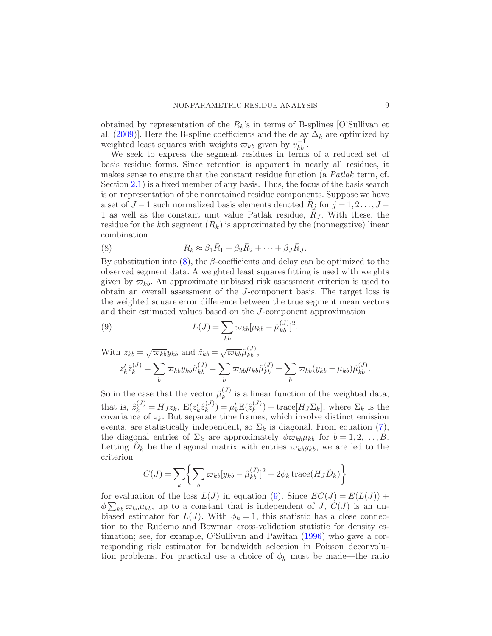obtained by representation of the  $R_k$ 's in terms of B-splines [O'Sullivan et al. [\(2009](#page-29-6))]. Here the B-spline coefficients and the delay  $\Delta_k$  are optimized by weighted least squares with weights  $\varpi_{kb}$  given by  $v_{kb}^{-1}$ .

We seek to express the segment residues in terms of a reduced set of basis residue forms. Since retention is apparent in nearly all residues, it makes sense to ensure that the constant residue function (a *Patlak* term, cf. Section [2.1\)](#page-3-2) is a fixed member of any basis. Thus, the focus of the basis search is on representation of the nonretained residue components. Suppose we have a set of  $J-1$  such normalized basis elements denoted  $\overline{R}_j$  for  $j=1,2,\ldots,J-1$ 1 as well as the constant unit value Patlak residue,  $\tilde{R}_J$ . With these, the residue for the kth segment  $(R_k)$  is approximated by the (nonnegative) linear combination

<span id="page-8-0"></span>(8) 
$$
R_k \approx \beta_1 \bar{R}_1 + \beta_2 \bar{R}_2 + \cdots + \beta_J \bar{R}_J.
$$

By substitution into  $(8)$ , the  $\beta$ -coefficients and delay can be optimized to the observed segment data. A weighted least squares fitting is used with weights given by  $\varpi_{kb}$ . An approximate unbiased risk assessment criterion is used to obtain an overall assessment of the J-component basis. The target loss is the weighted square error difference between the true segment mean vectors and their estimated values based on the J-component approximation

<span id="page-8-1"></span>(9) 
$$
L(J) = \sum_{kb} \varpi_{kb} [\mu_{kb} - \hat{\mu}_{kb}^{(J)}]^2.
$$

With  $z_{kb} = \sqrt{\overline{\omega}_{kb}} y_{kb}$  and  $\hat{z}_{kb} = \sqrt{\overline{\omega}_{kb}} \hat{\mu}_{kb}^{(J)}$ ,  $z'_k \hat{z}_k^{(J)} = \sum$ b  $\varpi_{kb}y_{kb}\hat{\mu}^{(J)}_{kb}=\sum$ b  $\varpi_{kb}\mu_{kb}\hat{\mu}^{(J)}_{kb}+\sum$ b  $\varpi_{kb}(y_{kb} - \mu_{kb})\hat{\mu}_{kb}^{(J)}.$ 

So in the case that the vector  $\hat{\mu}_k^{(J)}$  $\binom{1}{k}$  is a linear function of the weighted data, that is,  $\hat{z}_{k}^{(J)} = H_{J} z_{k}$ ,  $E(z'_{k} \hat{z}_{k}^{(J)})$  $\mu_k^{(J)} = \mu_k^{'} \mathbb{E}(\hat{z}_k^{(J)})$  $(k^{(J)})$  + trace $[H_J \Sigma_k]$ , where  $\Sigma_k$  is the covariance of  $z_k$ . But separate time frames, which involve distinct emission events, are statistically independent, so  $\Sigma_k$  is diagonal. From equation [\(7\)](#page-7-0), the diagonal entries of  $\Sigma_k$  are approximately  $\phi \varpi_{kb} \mu_{kb}$  for  $b = 1, 2, \ldots, B$ . Letting  $\hat{D}_k$  be the diagonal matrix with entries  $\overline{\omega_{kb}y_{kb}}$ , we are led to the criterion

$$
C(J) = \sum_{k} \left\{ \sum_{b} \varpi_{kb} [y_{kb} - \hat{\mu}_{kb}^{(J)}]^2 + 2\phi_k \operatorname{trace}(H_J \hat{D}_k) \right\}
$$

for evaluation of the loss  $L(J)$  in equation [\(9\)](#page-8-1). Since  $EC(J) = E(L(J))$  +  $\phi \sum_{kb} \varpi_{kb} \mu_{kb}$ , up to a constant that is independent of J,  $C(J)$  is an unbiased estimator for  $L(J)$ . With  $\phi_k = 1$ , this statistic has a close connection to the Rudemo and Bowman cross-validation statistic for density estimation; see, for example, O'Sullivan and Pawitan [\(1996](#page-29-11)) who gave a corresponding risk estimator for bandwidth selection in Poisson deconvolution problems. For practical use a choice of  $\phi_k$  must be made—the ratio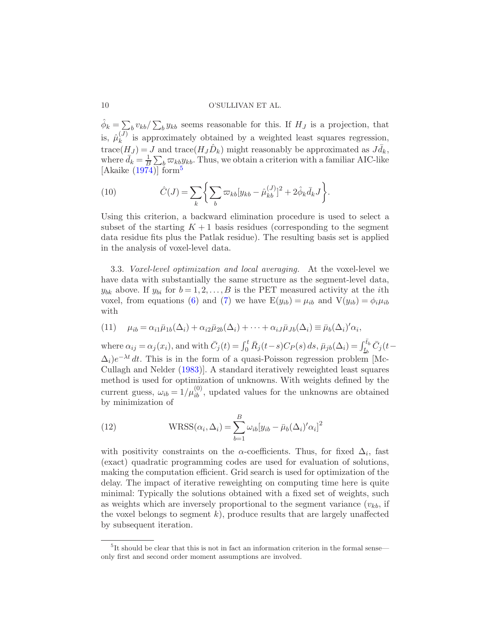$\hat{\phi}_k = \sum_b v_{kb} / \sum_b y_{kb}$  seems reasonable for this. If  $H_J$  is a projection, that is,  $\hat{\mu}_k^{(J)}$  $\kappa_k^{(3)}$  is approximately obtained by a weighted least squares regression, trace $(H_J) = J$  and trace $(H_J \hat{D}_k)$  might reasonably be approximated as  $J \bar{d}_k$ , where  $\bar{d}_k = \frac{1}{B}$  $\frac{1}{B} \sum_{b} \varpi_{kb} y_{kb}$ . Thus, we obtain a criterion with a familiar AIC-like [Akaike  $(1974)$ ] form<sup>[5](#page-9-1)</sup>

<span id="page-9-3"></span>(10) 
$$
\hat{C}(J) = \sum_{k} \left\{ \sum_{b} \varpi_{kb} [y_{kb} - \hat{\mu}_{kb}^{(J)}]^2 + 2 \hat{\phi}_{k} \bar{d}_{k} J \right\}.
$$

Using this criterion, a backward elimination procedure is used to select a subset of the starting  $K + 1$  basis residues (corresponding to the segment data residue fits plus the Patlak residue). The resulting basis set is applied in the analysis of voxel-level data.

<span id="page-9-0"></span>3.3. Voxel-level optimization and local averaging. At the voxel-level we have data with substantially the same structure as the segment-level data,  $y_{bk}$  above. If  $y_{bi}$  for  $b = 1, 2, ..., B$  is the PET measured activity at the *i*th voxel, from equations [\(6\)](#page-7-1) and [\(7\)](#page-7-0) we have  $E(y_{ib}) = \mu_{ib}$  and  $V(y_{ib}) = \phi_i \mu_{ib}$ with

<span id="page-9-2"></span>(11) 
$$
\mu_{ib} = \alpha_{i1}\bar{\mu}_{1b}(\Delta_i) + \alpha_{i2}\bar{\mu}_{2b}(\Delta_i) + \cdots + \alpha_{iJ}\bar{\mu}_{Jb}(\Delta_i) \equiv \bar{\mu}_b(\Delta_i)'\alpha_i,
$$

where  $\alpha_{ij} = \alpha_j(x_i)$ , and with  $\bar{C}_j(t) = \int_0^t \bar{R}_j(t-s)C_P(s) ds$ ,  $\bar{\mu}_{jb}(\Delta_i) = \int_{t_b}^{\bar{t}_b} \bar{C}_j(t-s)C_P(s) ds$  $\Delta_i$ )e<sup>- $\lambda t$ </sup>dt. This is in the form of a quasi-Poisson regression problem [Mc-Cullagh and Nelder [\(1983\)](#page-29-12)]. A standard iteratively reweighted least squares method is used for optimization of unknowns. With weights defined by the current guess,  $\omega_{ib} = 1/\mu_{ib}^{(0)}$ , updated values for the unknowns are obtained by minimization of

(12) 
$$
\text{WRSS}(\alpha_i, \Delta_i) = \sum_{b=1}^{B} \omega_{ib} [y_{ib} - \bar{\mu}_b (\Delta_i)' \alpha_i]^2
$$

with positivity constraints on the  $\alpha$ -coefficients. Thus, for fixed  $\Delta_i$ , fast (exact) quadratic programming codes are used for evaluation of solutions, making the computation efficient. Grid search is used for optimization of the delay. The impact of iterative reweighting on computing time here is quite minimal: Typically the solutions obtained with a fixed set of weights, such as weights which are inversely proportional to the segment variance  $(v_{kb},$  if the voxel belongs to segment  $k$ ), produce results that are largely unaffected by subsequent iteration.

<span id="page-9-1"></span><sup>&</sup>lt;sup>5</sup>It should be clear that this is not in fact an information criterion in the formal sense only first and second order moment assumptions are involved.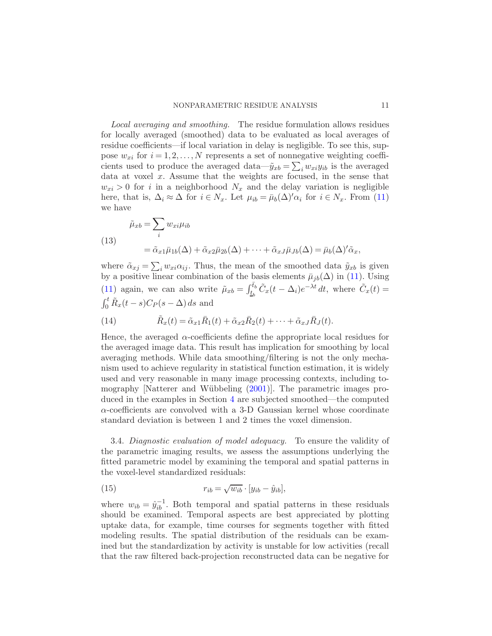Local averaging and smoothing. The residue formulation allows residues for locally averaged (smoothed) data to be evaluated as local averages of residue coefficients—if local variation in delay is negligible. To see this, suppose  $w_{xi}$  for  $i = 1, 2, ..., N$  represents a set of nonnegative weighting coefficients used to produce the averaged data— $\tilde{y}_{xb} = \sum_i w_{xi} y_{ib}$  is the averaged data at voxel  $x$ . Assume that the weights are focused, in the sense that  $w_{xi} > 0$  for i in a neighborhood  $N_x$  and the delay variation is negligible here, that is,  $\Delta_i \approx \Delta$  for  $i \in N_x$ . Let  $\mu_{ib} = \bar{\mu}_b(\Delta)' \alpha_i$  for  $i \in N_x$ . From [\(11\)](#page-9-2) we have

(13)  
\n
$$
\tilde{\mu}_{xb} = \sum_{i} w_{xi} \mu_{ib}
$$
\n
$$
= \tilde{\alpha}_{x1} \bar{\mu}_{1b}(\Delta) + \tilde{\alpha}_{x2} \bar{\mu}_{2b}(\Delta) + \dots + \tilde{\alpha}_{xJ} \bar{\mu}_{Jb}(\Delta) = \bar{\mu}_{b}(\Delta)' \tilde{\alpha}_{x},
$$

where  $\tilde{\alpha}_{xj} = \sum_i w_{xi} \alpha_{ij}$ . Thus, the mean of the smoothed data  $\tilde{y}_{xb}$  is given by a positive linear combination of the basis elements  $\bar{\mu}_{jb}(\Delta)$  in [\(11\)](#page-9-2). Using [\(11\)](#page-9-2) again, we can also write  $\tilde{\mu}_{xb} = \int_{t_b}^{\bar{t}_b} \tilde{C}_x(t - \Delta_i) e^{-\lambda t} dt$ , where  $\tilde{C}_x(t) =$  $\int_0^t \tilde{R}_x(t-s)C_P(s-\Delta) ds$  and (14)  $\tilde{R}_x(t) = \tilde{\alpha}_{x1} \bar{R}_1(t) + \tilde{\alpha}_{x2} \bar{R}_2(t) + \cdots + \tilde{\alpha}_{xJ} \bar{R}_J(t).$ 

Hence, the averaged  $\alpha$ -coefficients define the appropriate local residues for the averaged image data. This result has implication for smoothing by local averaging methods. While data smoothing/filtering is not the only mechanism used to achieve regularity in statistical function estimation, it is widely used and very reasonable in many image processing contexts, including to-mography [Natterer and Wübbeling [\(2001](#page-29-13))]. The parametric images produced in the examples in Section [4](#page-11-0) are subjected smoothed—the computed α-coefficients are convolved with a 3-D Gaussian kernel whose coordinate standard deviation is between 1 and 2 times the voxel dimension.

<span id="page-10-0"></span>3.4. Diagnostic evaluation of model adequacy. To ensure the validity of the parametric imaging results, we assess the assumptions underlying the fitted parametric model by examining the temporal and spatial patterns in the voxel-level standardized residuals:

(15) 
$$
r_{ib} = \sqrt{w_{ib}} \cdot [y_{ib} - \hat{y}_{ib}],
$$

where  $w_{ib} = \hat{y}_{ib}^{-1}$ . Both temporal and spatial patterns in these residuals should be examined. Temporal aspects are best appreciated by plotting uptake data, for example, time courses for segments together with fitted modeling results. The spatial distribution of the residuals can be examined but the standardization by activity is unstable for low activities (recall that the raw filtered back-projection reconstructed data can be negative for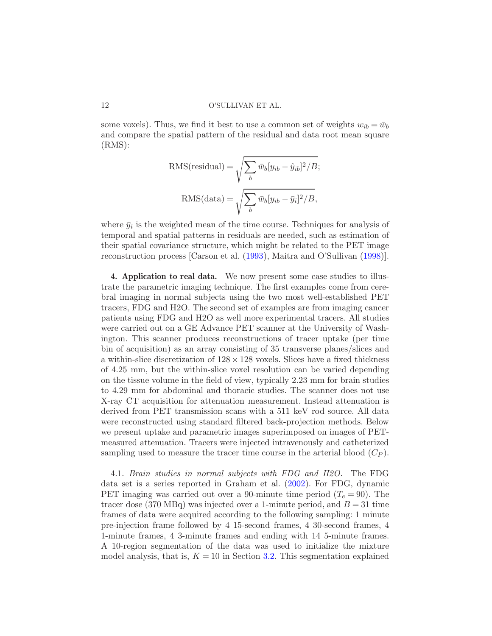some voxels). Thus, we find it best to use a common set of weights  $w_{ib} = \bar{w}_b$ and compare the spatial pattern of the residual and data root mean square (RMS):

RMS(residual) = 
$$
\sqrt{\sum_{b} \bar{w}_{b} [y_{ib} - \hat{y}_{ib}]^{2} / B};
$$

$$
RMS(data) = \sqrt{\sum_{b} \bar{w}_{b} [y_{ib} - \bar{y}_{i}]^{2} / B},
$$

where  $\bar{y}_i$  is the weighted mean of the time course. Techniques for analysis of temporal and spatial patterns in residuals are needed, such as estimation of their spatial covariance structure, which might be related to the PET image reconstruction process [Carson et al. [\(1993](#page-27-4)), Maitra and O'Sullivan [\(1998](#page-29-14))].

<span id="page-11-0"></span>4. Application to real data. We now present some case studies to illustrate the parametric imaging technique. The first examples come from cerebral imaging in normal subjects using the two most well-established PET tracers, FDG and H2O. The second set of examples are from imaging cancer patients using FDG and H2O as well more experimental tracers. All studies were carried out on a GE Advance PET scanner at the University of Washington. This scanner produces reconstructions of tracer uptake (per time bin of acquisition) as an array consisting of 35 transverse planes/slices and a within-slice discretization of  $128 \times 128$  voxels. Slices have a fixed thickness of 4.25 mm, but the within-slice voxel resolution can be varied depending on the tissue volume in the field of view, typically 2.23 mm for brain studies to 4.29 mm for abdominal and thoracic studies. The scanner does not use X-ray CT acquisition for attenuation measurement. Instead attenuation is derived from PET transmission scans with a 511 keV rod source. All data were reconstructed using standard filtered back-projection methods. Below we present uptake and parametric images superimposed on images of PETmeasured attenuation. Tracers were injected intravenously and catheterized sampling used to measure the tracer time course in the arterial blood  $(C_P)$ .

<span id="page-11-1"></span>4.1. Brain studies in normal subjects with FDG and H2O. The FDG data set is a series reported in Graham et al. [\(2002](#page-28-9)). For FDG, dynamic PET imaging was carried out over a 90-minute time period  $(T_e = 90)$ . The tracer dose (370 MBq) was injected over a 1-minute period, and  $B = 31$  time frames of data were acquired according to the following sampling: 1 minute pre-injection frame followed by 4 15-second frames, 4 30-second frames, 4 1-minute frames, 4 3-minute frames and ending with 14 5-minute frames. A 10-region segmentation of the data was used to initialize the mixture model analysis, that is,  $K = 10$  in Section [3.2.](#page-7-2) This segmentation explained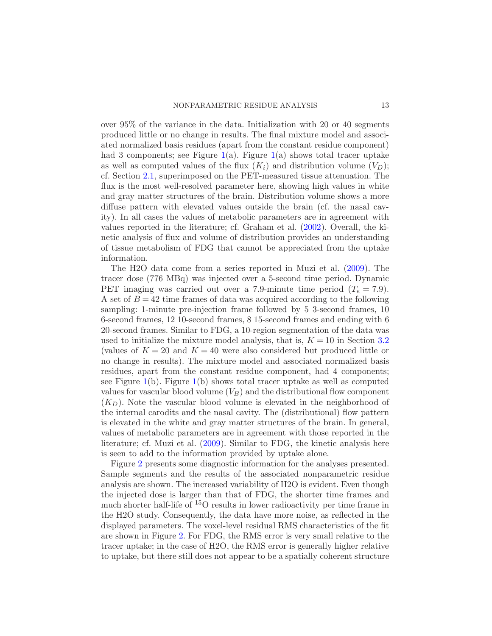over 95% of the variance in the data. Initialization with 20 or 40 segments produced little or no change in results. The final mixture model and associated normalized basis residues (apart from the constant residue component) had 3 components; see Figure  $1(a)$  $1(a)$ . Figure  $1(a)$  shows total tracer uptake as well as computed values of the flux  $(K_i)$  and distribution volume  $(V_D)$ ; cf. Section [2.1,](#page-3-2) superimposed on the PET-measured tissue attenuation. The flux is the most well-resolved parameter here, showing high values in white and gray matter structures of the brain. Distribution volume shows a more diffuse pattern with elevated values outside the brain (cf. the nasal cavity). In all cases the values of metabolic parameters are in agreement with values reported in the literature; cf. Graham et al. [\(2002\)](#page-28-9). Overall, the kinetic analysis of flux and volume of distribution provides an understanding of tissue metabolism of FDG that cannot be appreciated from the uptake information.

The H2O data come from a series reported in Muzi et al. [\(2009](#page-29-15)). The tracer dose (776 MBq) was injected over a 5-second time period. Dynamic PET imaging was carried out over a 7.9-minute time period  $(T_e = 7.9)$ . A set of  $B = 42$  time frames of data was acquired according to the following sampling: 1-minute pre-injection frame followed by 5 3-second frames, 10 6-second frames, 12 10-second frames, 8 15-second frames and ending with 6 20-second frames. Similar to FDG, a 10-region segmentation of the data was used to initialize the mixture model analysis, that is,  $K = 10$  in Section [3.2](#page-7-2) (values of  $K = 20$  and  $K = 40$  were also considered but produced little or no change in results). The mixture model and associated normalized basis residues, apart from the constant residue component, had 4 components; see Figure  $1(b)$  $1(b)$ . Figure  $1(b)$  shows total tracer uptake as well as computed values for vascular blood volume  $(V_B)$  and the distributional flow component  $(K_D)$ . Note the vascular blood volume is elevated in the neighborhood of the internal carodits and the nasal cavity. The (distributional) flow pattern is elevated in the white and gray matter structures of the brain. In general, values of metabolic parameters are in agreement with those reported in the literature; cf. Muzi et al. [\(2009](#page-29-15)). Similar to FDG, the kinetic analysis here is seen to add to the information provided by uptake alone.

Figure [2](#page-14-0) presents some diagnostic information for the analyses presented. Sample segments and the results of the associated nonparametric residue analysis are shown. The increased variability of H2O is evident. Even though the injected dose is larger than that of FDG, the shorter time frames and much shorter half-life of <sup>15</sup>O results in lower radioactivity per time frame in the H2O study. Consequently, the data have more noise, as reflected in the displayed parameters. The voxel-level residual RMS characteristics of the fit are shown in Figure [2.](#page-14-0) For FDG, the RMS error is very small relative to the tracer uptake; in the case of H2O, the RMS error is generally higher relative to uptake, but there still does not appear to be a spatially coherent structure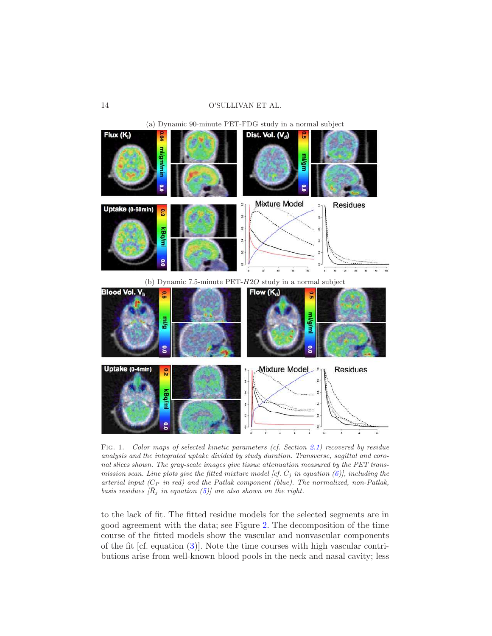

(a) Dynamic 90-minute PET-FDG study in a normal subject

Uptake (0-4min) Mixture Model **Residues**  $\overline{a}$  $\ddot{a}$ **DB** uu/bax ă ž  $\frac{1}{2}$ 

<span id="page-13-0"></span>FIG. 1. Color maps of selected kinetic parameters (cf. Section [2.1\)](#page-3-2) recovered by residue analysis and the integrated uptake divided by study duration. Transverse, sagittal and coronal slices shown. The gray-scale images give tissue attenuation measured by the PET transmission scan. Line plots give the fitted mixture model [cf.  $\bar{C}_j$  in equation [\(6\)](#page-7-1)], including the arterial input  $(C_P$  in red) and the Patlak component (blue). The normalized, non-Patlak, basis residues  $[\bar{R}_j$  in equation [\(5\)](#page-5-1)] are also shown on the right.

to the lack of fit. The fitted residue models for the selected segments are in good agreement with the data; see Figure [2.](#page-14-0) The decomposition of the time course of the fitted models show the vascular and nonvascular components of the fit [cf. equation [\(3\)](#page-4-1)]. Note the time courses with high vascular contributions arise from well-known blood pools in the neck and nasal cavity; less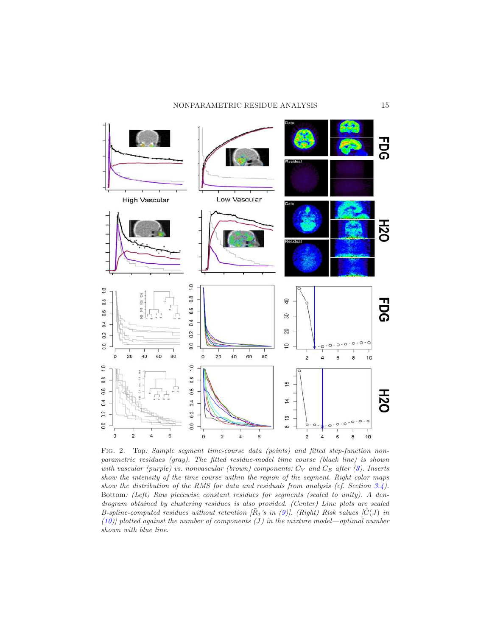

<span id="page-14-0"></span>Fig. 2. Top: Sample segment time-course data (points) and fitted step-function nonparametric residues (gray). The fitted residue-model time course (black line) is shown with vascular (purple) vs. nonvascular (brown) components:  $C_V$  and  $C_E$  after [\(3\)](#page-4-1). Inserts show the intensity of the time course within the region of the segment. Right color maps show the distribution of the RMS for data and residuals from analysis (cf. Section [3.4\)](#page-10-0). Bottom: (Left) Raw piecewise constant residues for segments (scaled to unity). A dendrogram obtained by clustering residues is also provided. (Center) Line plots are scaled B-spline-computed residues without retention  $[\bar{R}_j$ 's in [\(9\)](#page-8-1)]. (Right) Risk values  $[\hat{C}(J)$  in [\(10\)](#page-9-3)] plotted against the number of components  $(J)$  in the mixture model—optimal number shown with blue line.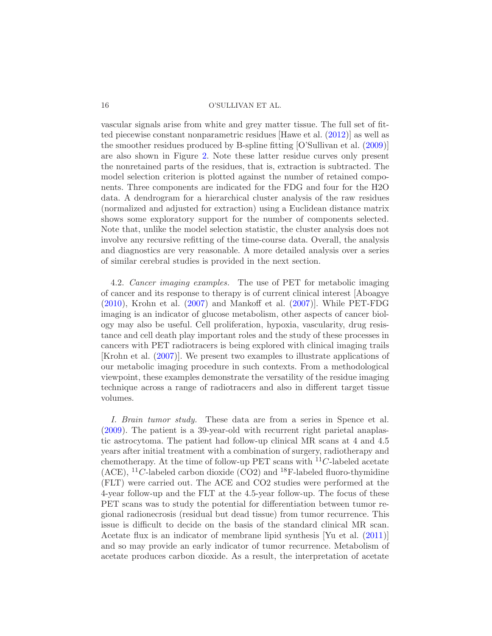vascular signals arise from white and grey matter tissue. The full set of fitted piecewise constant nonparametric residues [Hawe et al. [\(2012](#page-28-2))] as well as the smoother residues produced by B-spline fitting [O'Sullivan et al. [\(2009](#page-29-6))] are also shown in Figure [2.](#page-14-0) Note these latter residue curves only present the nonretained parts of the residues, that is, extraction is subtracted. The model selection criterion is plotted against the number of retained components. Three components are indicated for the FDG and four for the H2O data. A dendrogram for a hierarchical cluster analysis of the raw residues (normalized and adjusted for extraction) using a Euclidean distance matrix shows some exploratory support for the number of components selected. Note that, unlike the model selection statistic, the cluster analysis does not involve any recursive refitting of the time-course data. Overall, the analysis and diagnostics are very reasonable. A more detailed analysis over a series of similar cerebral studies is provided in the next section.

4.2. Cancer imaging examples. The use of PET for metabolic imaging of cancer and its response to therapy is of current clinical interest [Aboagye  $(2010)$ , Krohn et al.  $(2007)$  and Mankoff et al.  $(2007)$ . While PET-FDG imaging is an indicator of glucose metabolism, other aspects of cancer biology may also be useful. Cell proliferation, hypoxia, vascularity, drug resistance and cell death play important roles and the study of these processes in cancers with PET radiotracers is being explored with clinical imaging trails [Krohn et al. [\(2007\)](#page-28-10)]. We present two examples to illustrate applications of our metabolic imaging procedure in such contexts. From a methodological viewpoint, these examples demonstrate the versatility of the residue imaging technique across a range of radiotracers and also in different target tissue volumes.

I. Brain tumor study. These data are from a series in Spence et al. [\(2009\)](#page-30-3). The patient is a 39-year-old with recurrent right parietal anaplastic astrocytoma. The patient had follow-up clinical MR scans at 4 and 4.5 years after initial treatment with a combination of surgery, radiotherapy and chemotherapy. At the time of follow-up PET scans with  ${}^{11}C$ -labeled acetate (ACE), <sup>11</sup>C-labeled carbon dioxide (CO2) and <sup>18</sup>F-labeled fluoro-thymidine (FLT) were carried out. The ACE and CO2 studies were performed at the 4-year follow-up and the FLT at the 4.5-year follow-up. The focus of these PET scans was to study the potential for differentiation between tumor regional radionecrosis (residual but dead tissue) from tumor recurrence. This issue is difficult to decide on the basis of the standard clinical MR scan. Acetate flux is an indicator of membrane lipid synthesis [Yu et al. [\(2011](#page-30-4))] and so may provide an early indicator of tumor recurrence. Metabolism of acetate produces carbon dioxide. As a result, the interpretation of acetate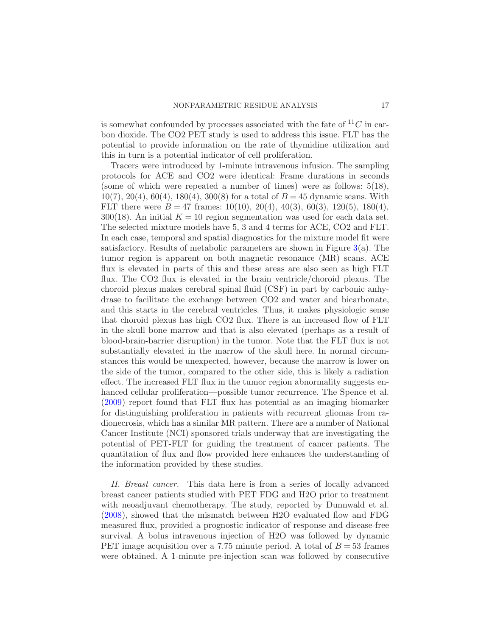is somewhat confounded by processes associated with the fate of  ${}^{11}C$  in carbon dioxide. The CO2 PET study is used to address this issue. FLT has the potential to provide information on the rate of thymidine utilization and this in turn is a potential indicator of cell proliferation.

Tracers were introduced by 1-minute intravenous infusion. The sampling protocols for ACE and CO2 were identical: Frame durations in seconds (some of which were repeated a number of times) were as follows: 5(18),  $10(7), 20(4), 60(4), 180(4), 300(8)$  for a total of  $B = 45$  dynamic scans. With FLT there were  $B = 47$  frames: 10(10), 20(4), 40(3), 60(3), 120(5), 180(4), 300(18). An initial  $K = 10$  region segmentation was used for each data set. The selected mixture models have 5, 3 and 4 terms for ACE, CO2 and FLT. In each case, temporal and spatial diagnostics for the mixture model fit were satisfactory. Results of metabolic parameters are shown in Figure [3\(](#page-17-0)a). The tumor region is apparent on both magnetic resonance (MR) scans. ACE flux is elevated in parts of this and these areas are also seen as high FLT flux. The CO2 flux is elevated in the brain ventricle/choroid plexus. The choroid plexus makes cerebral spinal fluid (CSF) in part by carbonic anhydrase to facilitate the exchange between CO2 and water and bicarbonate, and this starts in the cerebral ventricles. Thus, it makes physiologic sense that choroid plexus has high CO2 flux. There is an increased flow of FLT in the skull bone marrow and that is also elevated (perhaps as a result of blood-brain-barrier disruption) in the tumor. Note that the FLT flux is not substantially elevated in the marrow of the skull here. In normal circumstances this would be unexpected, however, because the marrow is lower on the side of the tumor, compared to the other side, this is likely a radiation effect. The increased FLT flux in the tumor region abnormality suggests enhanced cellular proliferation—possible tumor recurrence. The Spence et al. [\(2009\)](#page-30-3) report found that FLT flux has potential as an imaging biomarker for distinguishing proliferation in patients with recurrent gliomas from radionecrosis, which has a similar MR pattern. There are a number of National Cancer Institute (NCI) sponsored trials underway that are investigating the potential of PET-FLT for guiding the treatment of cancer patients. The quantitation of flux and flow provided here enhances the understanding of the information provided by these studies.

II. Breast cancer. This data here is from a series of locally advanced breast cancer patients studied with PET FDG and H2O prior to treatment with neoadjuvant chemotherapy. The study, reported by Dunnwald et al. [\(2008\)](#page-28-11), showed that the mismatch between H2O evaluated flow and FDG measured flux, provided a prognostic indicator of response and disease-free survival. A bolus intravenous injection of H2O was followed by dynamic PET image acquisition over a 7.75 minute period. A total of  $B = 53$  frames were obtained. A 1-minute pre-injection scan was followed by consecutive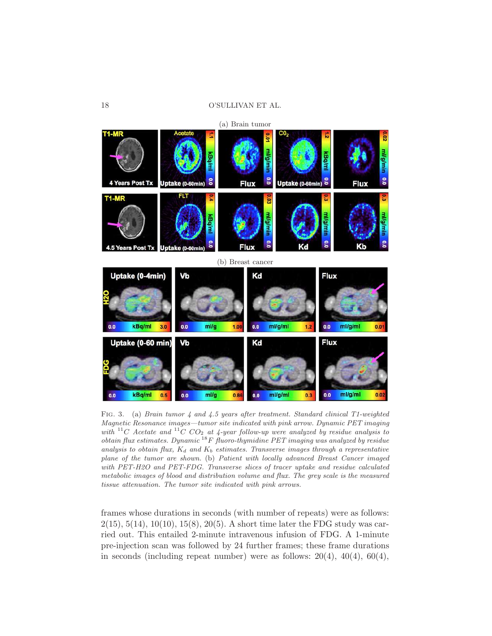

<span id="page-17-0"></span>Fig. 3. (a) Brain tumor 4 and 4.5 years after treatment. Standard clinical T1-weighted Magnetic Resonance images—tumor site indicated with pink arrow. Dynamic PET imaging with  ${}^{11}C$  Acetate and  ${}^{11}C$  CO<sub>2</sub> at 4-year follow-up were analyzed by residue analysis to obtain flux estimates. Dynamic  $18F$  fluoro-thymidine PET imaging was analyzed by residue analysis to obtain flux,  $K_d$  and  $K_b$  estimates. Transverse images through a representative plane of the tumor are shown. (b) Patient with locally advanced Breast Cancer imaged with PET-H2O and PET-FDG. Transverse slices of tracer uptake and residue calculated metabolic images of blood and distribution volume and flux. The grey scale is the measured tissue attenuation. The tumor site indicated with pink arrows.

frames whose durations in seconds (with number of repeats) were as follows:  $2(15)$ ,  $5(14)$ ,  $10(10)$ ,  $15(8)$ ,  $20(5)$ . A short time later the FDG study was carried out. This entailed 2-minute intravenous infusion of FDG. A 1-minute pre-injection scan was followed by 24 further frames; these frame durations in seconds (including repeat number) were as follows:  $20(4)$ ,  $40(4)$ ,  $60(4)$ ,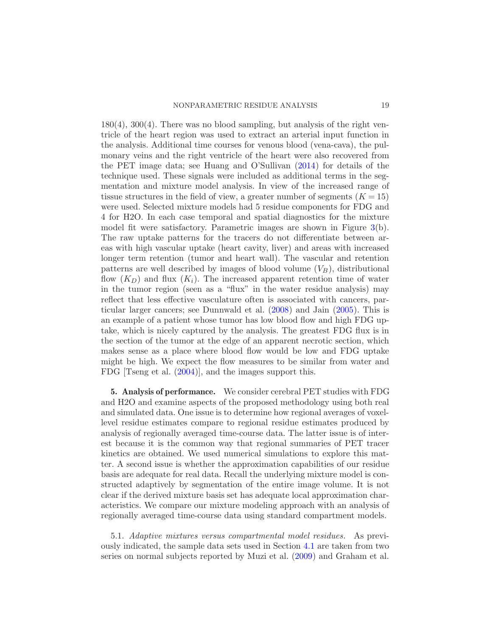180(4), 300(4). There was no blood sampling, but analysis of the right ventricle of the heart region was used to extract an arterial input function in the analysis. Additional time courses for venous blood (vena-cava), the pulmonary veins and the right ventricle of the heart were also recovered from the PET image data; see Huang and O'Sullivan [\(2014\)](#page-28-12) for details of the technique used. These signals were included as additional terms in the segmentation and mixture model analysis. In view of the increased range of tissue structures in the field of view, a greater number of segments  $(K = 15)$ were used. Selected mixture models had 5 residue components for FDG and 4 for H2O. In each case temporal and spatial diagnostics for the mixture model fit were satisfactory. Parametric images are shown in Figure [3\(](#page-17-0)b). The raw uptake patterns for the tracers do not differentiate between areas with high vascular uptake (heart cavity, liver) and areas with increased longer term retention (tumor and heart wall). The vascular and retention patterns are well described by images of blood volume  $(V_B)$ , distributional flow  $(K_D)$  and flux  $(K_i)$ . The increased apparent retention time of water in the tumor region (seen as a "flux" in the water residue analysis) may reflect that less effective vasculature often is associated with cancers, particular larger cancers; see Dunnwald et al. [\(2008\)](#page-28-11) and Jain [\(2005](#page-28-13)). This is an example of a patient whose tumor has low blood flow and high FDG uptake, which is nicely captured by the analysis. The greatest FDG flux is in the section of the tumor at the edge of an apparent necrotic section, which makes sense as a place where blood flow would be low and FDG uptake might be high. We expect the flow measures to be similar from water and FDG [Tseng et al. [\(2004](#page-30-5))], and the images support this.

<span id="page-18-0"></span>5. Analysis of performance. We consider cerebral PET studies with FDG and H2O and examine aspects of the proposed methodology using both real and simulated data. One issue is to determine how regional averages of voxellevel residue estimates compare to regional residue estimates produced by analysis of regionally averaged time-course data. The latter issue is of interest because it is the common way that regional summaries of PET tracer kinetics are obtained. We used numerical simulations to explore this matter. A second issue is whether the approximation capabilities of our residue basis are adequate for real data. Recall the underlying mixture model is constructed adaptively by segmentation of the entire image volume. It is not clear if the derived mixture basis set has adequate local approximation characteristics. We compare our mixture modeling approach with an analysis of regionally averaged time-course data using standard compartment models.

5.1. Adaptive mixtures versus compartmental model residues. As previously indicated, the sample data sets used in Section [4.1](#page-11-1) are taken from two series on normal subjects reported by Muzi et al. [\(2009](#page-29-15)) and Graham et al.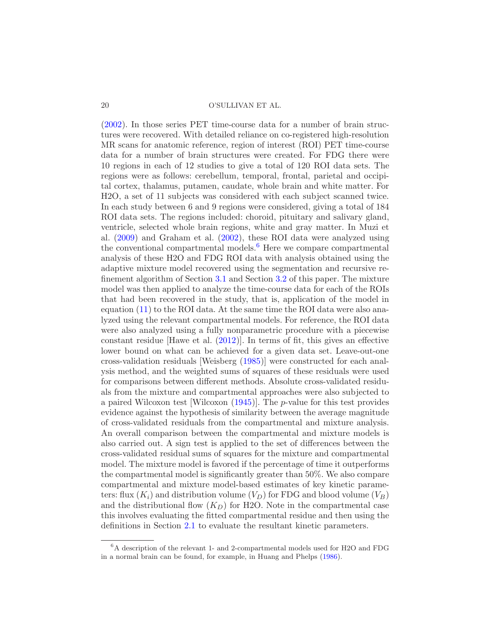[\(2002\)](#page-28-9). In those series PET time-course data for a number of brain structures were recovered. With detailed reliance on co-registered high-resolution MR scans for anatomic reference, region of interest (ROI) PET time-course data for a number of brain structures were created. For FDG there were 10 regions in each of 12 studies to give a total of 120 ROI data sets. The regions were as follows: cerebellum, temporal, frontal, parietal and occipital cortex, thalamus, putamen, caudate, whole brain and white matter. For H2O, a set of 11 subjects was considered with each subject scanned twice. In each study between 6 and 9 regions were considered, giving a total of 184 ROI data sets. The regions included: choroid, pituitary and salivary gland, ventricle, selected whole brain regions, white and gray matter. In Muzi et al. [\(2009\)](#page-29-15) and Graham et al. [\(2002](#page-28-9)), these ROI data were analyzed using the conventional compartmental models.<sup>[6](#page-19-0)</sup> Here we compare compartmental analysis of these H2O and FDG ROI data with analysis obtained using the adaptive mixture model recovered using the segmentation and recursive refinement algorithm of Section [3.1](#page-7-3) and Section [3.2](#page-7-2) of this paper. The mixture model was then applied to analyze the time-course data for each of the ROIs that had been recovered in the study, that is, application of the model in equation [\(11\)](#page-9-2) to the ROI data. At the same time the ROI data were also analyzed using the relevant compartmental models. For reference, the ROI data were also analyzed using a fully nonparametric procedure with a piecewise constant residue [Hawe et al. [\(2012](#page-28-2))]. In terms of fit, this gives an effective lower bound on what can be achieved for a given data set. Leave-out-one cross-validation residuals [Weisberg [\(1985](#page-30-6))] were constructed for each analysis method, and the weighted sums of squares of these residuals were used for comparisons between different methods. Absolute cross-validated residuals from the mixture and compartmental approaches were also subjected to a paired Wilcoxon test [Wilcoxon [\(1945](#page-30-7))]. The p-value for this test provides evidence against the hypothesis of similarity between the average magnitude of cross-validated residuals from the compartmental and mixture analysis. An overall comparison between the compartmental and mixture models is also carried out. A sign test is applied to the set of differences between the cross-validated residual sums of squares for the mixture and compartmental model. The mixture model is favored if the percentage of time it outperforms the compartmental model is significantly greater than 50%. We also compare compartmental and mixture model-based estimates of key kinetic parameters: flux  $(K_i)$  and distribution volume  $(V_D)$  for FDG and blood volume  $(V_B)$ and the distributional flow  $(K_D)$  for H2O. Note in the compartmental case this involves evaluating the fitted compartmental residue and then using the definitions in Section [2.1](#page-3-2) to evaluate the resultant kinetic parameters.

<span id="page-19-0"></span><sup>6</sup>A description of the relevant 1- and 2-compartmental models used for H2O and FDG in a normal brain can be found, for example, in Huang and Phelps [\(1986](#page-28-0)).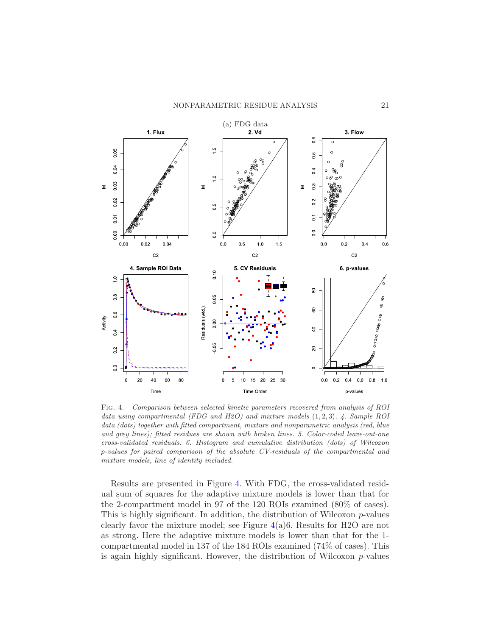

Fig. 4. Comparison between selected kinetic parameters recovered from analysis of ROI data using compartmental (FDG and H2O) and mixture models  $(1, 2, 3)$ . 4. Sample ROI data (dots) together with fitted compartment, mixture and nonparametric analysis (red, blue and grey lines); fitted residues are shown with broken lines. 5. Color-coded leave-out-one cross-validated residuals. 6. Histogram and cumulative distribution (dots) of Wilcoxon p-values for paired comparison of the absolute CV-residuals of the compartmental and mixture models, line of identity included.

Results are presented in Figure [4.](#page-21-0) With FDG, the cross-validated residual sum of squares for the adaptive mixture models is lower than that for the 2-compartment model in 97 of the 120 ROIs examined (80% of cases). This is highly significant. In addition, the distribution of Wilcoxon  $p$ -values clearly favor the mixture model; see Figure  $4(a)6$  $4(a)6$ . Results for H2O are not as strong. Here the adaptive mixture models is lower than that for the 1 compartmental model in 137 of the 184 ROIs examined (74% of cases). This is again highly significant. However, the distribution of Wilcoxon  $p$ -values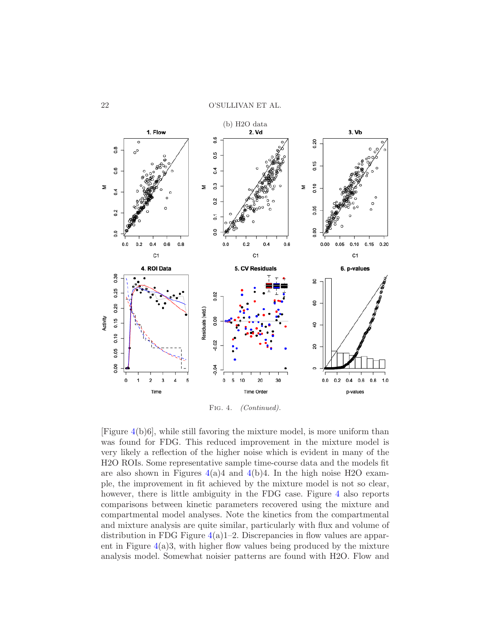

<span id="page-21-0"></span>FIG. 4. *(Continued)*.

[Figure [4\(](#page-21-0)b)6], while still favoring the mixture model, is more uniform than was found for FDG. This reduced improvement in the mixture model is very likely a reflection of the higher noise which is evident in many of the H2O ROIs. Some representative sample time-course data and the models fit are also shown in Figures  $4(a)4$  $4(a)4$  and  $4(b)4$ . In the high noise H2O example, the improvement in fit achieved by the mixture model is not so clear, however, there is little ambiguity in the FDG case. Figure [4](#page-21-0) also reports comparisons between kinetic parameters recovered using the mixture and compartmental model analyses. Note the kinetics from the compartmental and mixture analysis are quite similar, particularly with flux and volume of distribution in FDG Figure  $4(a)1-2$  $4(a)1-2$ . Discrepancies in flow values are apparent in Figure  $4(a)3$  $4(a)3$ , with higher flow values being produced by the mixture analysis model. Somewhat noisier patterns are found with H2O. Flow and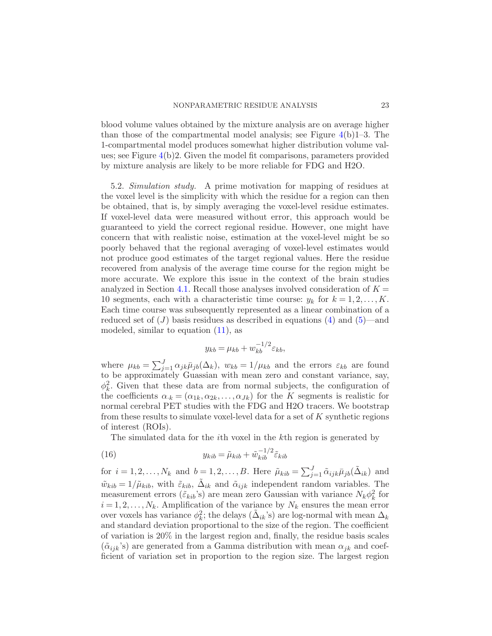blood volume values obtained by the mixture analysis are on average higher than those of the compartmental model analysis; see Figure  $4(b)1-3$  $4(b)1-3$ . The 1-compartmental model produces somewhat higher distribution volume values; see Figure  $4(b)2$  $4(b)2$ . Given the model fit comparisons, parameters provided by mixture analysis are likely to be more reliable for FDG and H2O.

5.2. Simulation study. A prime motivation for mapping of residues at the voxel level is the simplicity with which the residue for a region can then be obtained, that is, by simply averaging the voxel-level residue estimates. If voxel-level data were measured without error, this approach would be guaranteed to yield the correct regional residue. However, one might have concern that with realistic noise, estimation at the voxel-level might be so poorly behaved that the regional averaging of voxel-level estimates would not produce good estimates of the target regional values. Here the residue recovered from analysis of the average time course for the region might be more accurate. We explore this issue in the context of the brain studies analyzed in Section [4.1.](#page-11-1) Recall those analyses involved consideration of  $K =$ 10 segments, each with a characteristic time course:  $y_k$  for  $k = 1, 2, \ldots, K$ . Each time course was subsequently represented as a linear combination of a reduced set of  $(J)$  basis residues as described in equations  $(4)$  and  $(5)$ —and modeled, similar to equation [\(11\)](#page-9-2), as

$$
y_{kb} = \mu_{kb} + w_{kb}^{-1/2} \varepsilon_{kb},
$$

where  $\mu_{kb} = \sum_{j=1}^{J} \alpha_{jk} \bar{\mu}_{jb} (\Delta_k)$ ,  $w_{kb} = 1/\mu_{kb}$  and the errors  $\varepsilon_{kb}$  are found to be approximately Guassian with mean zero and constant variance, say,  $\phi_k^2$ . Given that these data are from normal subjects, the configuration of the coefficients  $\alpha_k = (\alpha_{1k}, \alpha_{2k}, \dots, \alpha_{Jk})$  for the K segments is realistic for normal cerebral PET studies with the FDG and H2O tracers. We bootstrap from these results to simulate voxel-level data for a set of  $K$  synthetic regions of interest (ROIs).

<span id="page-22-0"></span>The simulated data for the ith voxel in the kth region is generated by

(16) 
$$
y_{kib} = \tilde{\mu}_{kib} + \tilde{w}_{kib}^{-1/2} \tilde{\varepsilon}_{kib}
$$

for  $i = 1, 2, ..., N_k$  and  $b = 1, 2, ..., B$ . Here  $\tilde{\mu}_{kib} = \sum_{j=1}^{J} \tilde{\alpha}_{ijk} \bar{\mu}_{jb} (\tilde{\Delta}_{ik})$  and  $\tilde{w}_{kib} = 1/\tilde{\mu}_{kib}$ , with  $\tilde{\varepsilon}_{kib}$ ,  $\tilde{\Delta}_{ik}$  and  $\tilde{\alpha}_{ijk}$  independent random variables. The measurement errors  $(\tilde{\varepsilon}_{kib}^{\prime})$  are mean zero Gaussian with variance  $N_k \phi_k^2$  for  $i = 1, 2, \ldots, N_k$ . Amplification of the variance by  $N_k$  ensures the mean error over voxels has variance  $\phi_k^2$ ; the delays  $(\tilde{\Delta}_{ik}$ 's) are log-normal with mean  $\Delta_k$ and standard deviation proportional to the size of the region. The coefficient of variation is 20% in the largest region and, finally, the residue basis scales  $({\tilde{\alpha}}_{ijk}^{\dagger})$  are generated from a Gamma distribution with mean  ${\alpha}_{ik}$  and coefficient of variation set in proportion to the region size. The largest region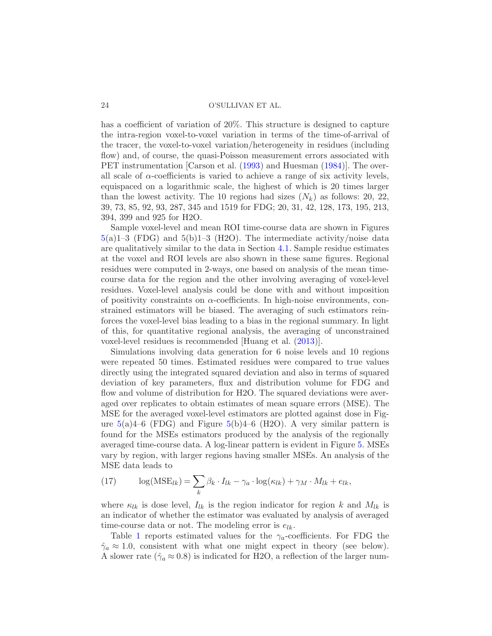has a coefficient of variation of 20%. This structure is designed to capture the intra-region voxel-to-voxel variation in terms of the time-of-arrival of the tracer, the voxel-to-voxel variation/heterogeneity in residues (including flow) and, of course, the quasi-Poisson measurement errors associated with PET instrumentation [Carson et al. [\(1993](#page-27-4)) and Huesman [\(1984](#page-28-8))]. The overall scale of  $\alpha$ -coefficients is varied to achieve a range of six activity levels, equispaced on a logarithmic scale, the highest of which is 20 times larger than the lowest activity. The 10 regions had sizes  $(N_k)$  as follows: 20, 22, 39, 73, 85, 92, 93, 287, 345 and 1519 for FDG; 20, 31, 42, 128, 173, 195, 213, 394, 399 and 925 for H2O.

Sample voxel-level and mean ROI time-course data are shown in Figures  $5(a)1-3$  $5(a)1-3$  (FDG) and  $5(b)1-3$  (H2O). The intermediate activity/noise data are qualitatively similar to the data in Section [4.1.](#page-11-1) Sample residue estimates at the voxel and ROI levels are also shown in these same figures. Regional residues were computed in 2-ways, one based on analysis of the mean timecourse data for the region and the other involving averaging of voxel-level residues. Voxel-level analysis could be done with and without imposition of positivity constraints on  $\alpha$ -coefficients. In high-noise environments, constrained estimators will be biased. The averaging of such estimators reinforces the voxel-level bias leading to a bias in the regional summary. In light of this, for quantitative regional analysis, the averaging of unconstrained voxel-level residues is recommended [Huang et al. [\(2013\)](#page-28-14)].

Simulations involving data generation for 6 noise levels and 10 regions were repeated 50 times. Estimated residues were compared to true values directly using the integrated squared deviation and also in terms of squared deviation of key parameters, flux and distribution volume for FDG and flow and volume of distribution for H2O. The squared deviations were averaged over replicates to obtain estimates of mean square errors (MSE). The MSE for the averaged voxel-level estimators are plotted against dose in Figure  $5(a)4-6$  $5(a)4-6$  (FDG) and Figure  $5(b)4-6$  (H2O). A very similar pattern is found for the MSEs estimators produced by the analysis of the regionally averaged time-course data. A log-linear pattern is evident in Figure [5.](#page-25-0) MSEs vary by region, with larger regions having smaller MSEs. An analysis of the MSE data leads to

<span id="page-23-0"></span>(17) 
$$
\log(\text{MSE}_{lk}) = \sum_{k} \beta_k \cdot I_{lk} - \gamma_a \cdot \log(\kappa_{lk}) + \gamma_M \cdot M_{lk} + e_{lk},
$$

where  $\kappa_{lk}$  is dose level,  $I_{lk}$  is the region indicator for region k and  $M_{lk}$  is an indicator of whether the estimator was evaluated by analysis of averaged time-course data or not. The modeling error is  $e_{lk}$ .

Table [1](#page-25-1) reports estimated values for the  $\gamma_a$ -coefficients. For FDG the  $\hat{\gamma}_a \approx 1.0$ , consistent with what one might expect in theory (see below). A slower rate  $(\hat{\gamma}_a \approx 0.8)$  is indicated for H2O, a reflection of the larger num-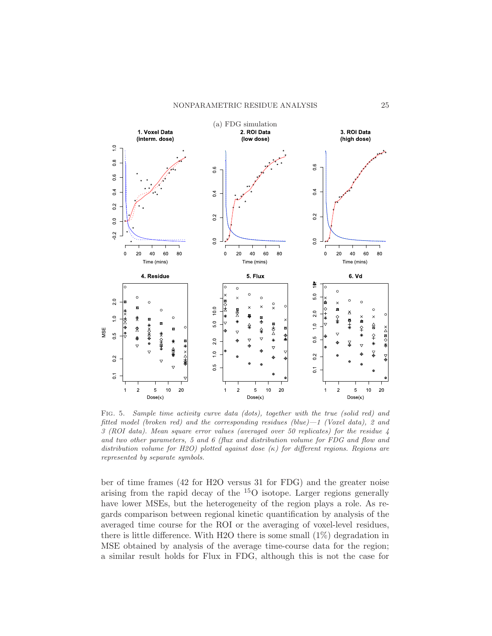

Fig. 5. Sample time activity curve data (dots), together with the true (solid red) and fitted model (broken red) and the corresponding residues (blue) $-1$  (Voxel data), 2 and 3 (ROI data). Mean square error values (averaged over 50 replicates) for the residue 4 and two other parameters, 5 and 6 (flux and distribution volume for FDG and flow and distribution volume for H2O) plotted against dose  $(\kappa)$  for different regions. Regions are represented by separate symbols.

ber of time frames (42 for H2O versus 31 for FDG) and the greater noise arising from the rapid decay of the  $15O$  isotope. Larger regions generally have lower MSEs, but the heterogeneity of the region plays a role. As regards comparison between regional kinetic quantification by analysis of the averaged time course for the ROI or the averaging of voxel-level residues, there is little difference. With H2O there is some small (1%) degradation in MSE obtained by analysis of the average time-course data for the region; a similar result holds for Flux in FDG, although this is not the case for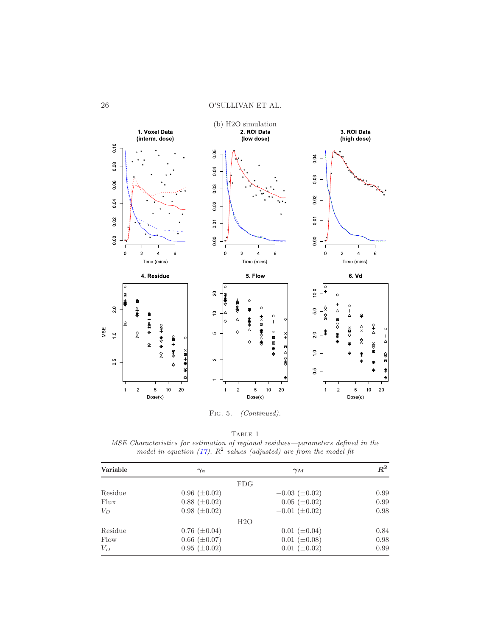

FIG. 5. (Continued).

<span id="page-25-0"></span>TABLE 1

<span id="page-25-1"></span>MSE Characteristics for estimation of regional residues—parameters defined in the model in equation [\(17\)](#page-23-0).  $R^2$  values (adjusted) are from the model fit

| Variable | $\gamma_a$          | $\gamma_M$             | $\boldsymbol{R^2}$ |
|----------|---------------------|------------------------|--------------------|
|          | <b>FDG</b>          |                        |                    |
| Residue  | $0.96~(\pm 0.02)$   | $-0.03~(\pm 0.02)$     | 0.99               |
| Flux     | $0.88~(\pm 0.02)$   | $0.05~(\pm 0.02)$      | 0.99               |
| $V_D$    | $0.98 \ (\pm 0.02)$ | $-0.01$ ( $\pm 0.02$ ) | 0.98               |
|          | H2O                 |                        |                    |
| Residue  | $0.76~(\pm 0.04)$   | $0.01~(\pm 0.04)$      | 0.84               |
| Flow     | $0.66~(\pm 0.07)$   | $0.01~(\pm 0.08)$      | 0.98               |
| $V_D$    | $0.95 \ (\pm 0.02)$ | $0.01~(\pm 0.02)$      | 0.99               |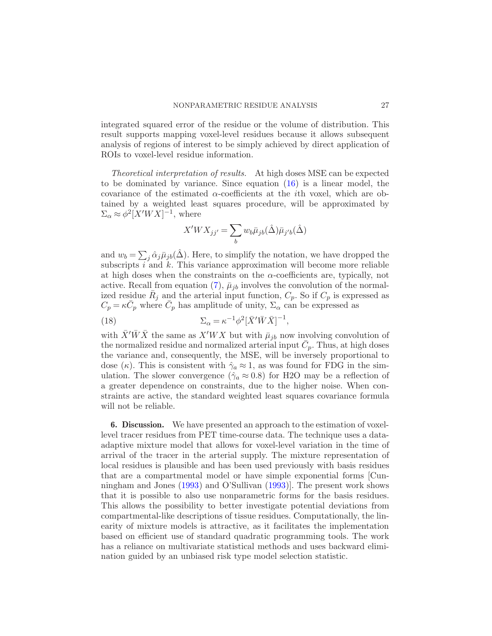integrated squared error of the residue or the volume of distribution. This result supports mapping voxel-level residues because it allows subsequent analysis of regions of interest to be simply achieved by direct application of ROIs to voxel-level residue information.

Theoretical interpretation of results. At high doses MSE can be expected to be dominated by variance. Since equation [\(16\)](#page-22-0) is a linear model, the covariance of the estimated  $\alpha$ -coefficients at the *i*th voxel, which are obtained by a weighted least squares procedure, will be approximated by  $\Sigma_{\alpha} \approx \phi^2 [X'WX]^{-1}$ , where

$$
X'WX_{jj'} = \sum_b w_b \bar{\mu}_{jb}(\hat{\Delta}) \bar{\mu}_{j'b}(\hat{\Delta})
$$

and  $w_b = \sum_j \hat{\alpha}_j \bar{\mu}_{jb}(\hat{\Delta})$ . Here, to simplify the notation, we have dropped the subscripts  $i$  and  $k$ . This variance approximation will become more reliable at high doses when the constraints on the  $\alpha$ -coefficients are, typically, not active. Recall from equation [\(7\)](#page-7-0),  $\bar{\mu}_{ib}$  involves the convolution of the normalized residue  $\bar{R}_j$  and the arterial input function,  $C_p$ . So if  $C_p$  is expressed as  $C_p = \kappa \bar{C}_p$  where  $\bar{C}_p$  has amplitude of unity,  $\Sigma_\alpha$  can be expressed as

(18) 
$$
\Sigma_{\alpha} = \kappa^{-1} \phi^2 [\bar{X}' \bar{W} \bar{X}]^{-1},
$$

with  $\bar{X}$ <sup>'</sup>W $\bar{X}$ <sup>the same as  $X'WX$  but with  $\bar{\mu}_{jb}$  now involving convolution of</sup> the normalized residue and normalized arterial input  $\bar{C}_p$ . Thus, at high doses the variance and, consequently, the MSE, will be inversely proportional to dose (κ). This is consistent with  $\hat{\gamma}_a \approx 1$ , as was found for FDG in the simulation. The slower convergence  $(\hat{\gamma}_a \approx 0.8)$  for H2O may be a reflection of a greater dependence on constraints, due to the higher noise. When constraints are active, the standard weighted least squares covariance formula will not be reliable.

6. Discussion. We have presented an approach to the estimation of voxellevel tracer residues from PET time-course data. The technique uses a dataadaptive mixture model that allows for voxel-level variation in the time of arrival of the tracer in the arterial supply. The mixture representation of local residues is plausible and has been used previously with basis residues that are a compartmental model or have simple exponential forms [Cunningham and Jones [\(1993](#page-27-0)) and O'Sullivan [\(1993\)](#page-29-2)]. The present work shows that it is possible to also use nonparametric forms for the basis residues. This allows the possibility to better investigate potential deviations from compartmental-like descriptions of tissue residues. Computationally, the linearity of mixture models is attractive, as it facilitates the implementation based on efficient use of standard quadratic programming tools. The work has a reliance on multivariate statistical methods and uses backward elimination guided by an unbiased risk type model selection statistic.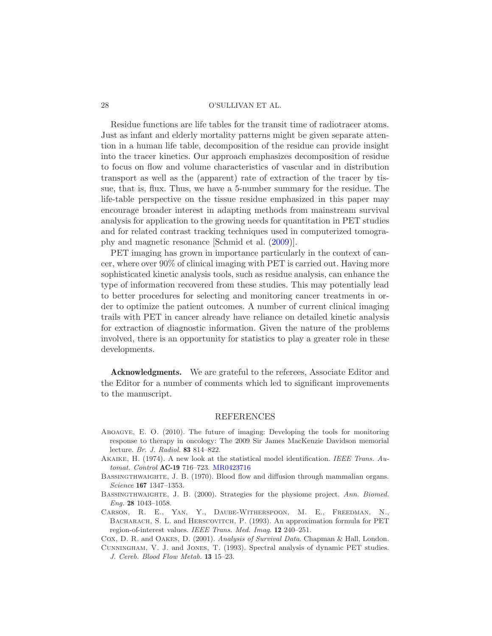Residue functions are life tables for the transit time of radiotracer atoms. Just as infant and elderly mortality patterns might be given separate attention in a human life table, decomposition of the residue can provide insight into the tracer kinetics. Our approach emphasizes decomposition of residue to focus on flow and volume characteristics of vascular and in distribution transport as well as the (apparent) rate of extraction of the tracer by tissue, that is, flux. Thus, we have a 5-number summary for the residue. The life-table perspective on the tissue residue emphasized in this paper may encourage broader interest in adapting methods from mainstream survival analysis for application to the growing needs for quantitation in PET studies and for related contrast tracking techniques used in computerized tomography and magnetic resonance [Schmid et al. [\(2009](#page-29-17))].

PET imaging has grown in importance particularly in the context of cancer, where over 90% of clinical imaging with PET is carried out. Having more sophisticated kinetic analysis tools, such as residue analysis, can enhance the type of information recovered from these studies. This may potentially lead to better procedures for selecting and monitoring cancer treatments in order to optimize the patient outcomes. A number of current clinical imaging trails with PET in cancer already have reliance on detailed kinetic analysis for extraction of diagnostic information. Given the nature of the problems involved, there is an opportunity for statistics to play a greater role in these developments.

Acknowledgments. We are grateful to the referees, Associate Editor and the Editor for a number of comments which led to significant improvements to the manuscript.

#### REFERENCES

- <span id="page-27-6"></span>Aboagye, E. O. (2010). The future of imaging: Developing the tools for monitoring response to therapy in oncology: The 2009 Sir James MacKenzie Davidson memorial lecture. Br. J. Radiol. 83 814–822.
- <span id="page-27-5"></span>Akaike, H. (1974). A new look at the statistical model identification. IEEE Trans. Automat. Control AC-19 716–723. [MR0423716](http://www.ams.org/mathscinet-getitem?mr=0423716)
- <span id="page-27-1"></span>BASSINGTHWAIGHTE, J. B. (1970). Blood flow and diffusion through mammalian organs. Science 167 1347–1353.
- <span id="page-27-2"></span>BASSINGTHWAIGHTE, J. B. (2000). Strategies for the physiome project. Ann. Biomed. Eng. 28 1043–1058.
- <span id="page-27-4"></span>Carson, R. E., Yan, Y., Daube-Witherspoon, M. E., Freedman, N., BACHARACH, S. L. and HERSCOVITCH, P. (1993). An approximation formula for PET region-of-interest values. IEEE Trans. Med. Imag. 12 240–251.
- <span id="page-27-3"></span>Cox, D. R. and Oakes, D. (2001). Analysis of Survival Data. Chapman & Hall, London.
- <span id="page-27-0"></span>Cunningham, V. J. and Jones, T. (1993). Spectral analysis of dynamic PET studies. J. Cereb. Blood Flow Metab. 13 15–23.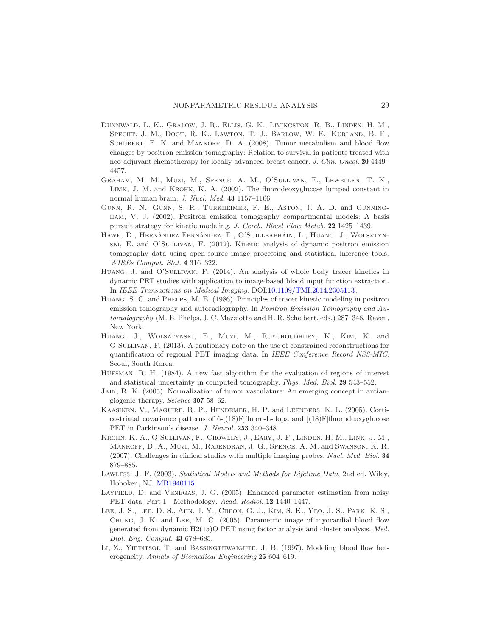- <span id="page-28-11"></span>Dunnwald, L. K., Gralow, J. R., Ellis, G. K., Livingston, R. B., Linden, H. M., Specht, J. M., Doot, R. K., Lawton, T. J., Barlow, W. E., Kurland, B. F., SCHUBERT, E. K. and MANKOFF, D. A. (2008). Tumor metabolism and blood flow changes by positron emission tomography: Relation to survival in patients treated with neo-adjuvant chemotherapy for locally advanced breast cancer. J. Clin. Oncol. 20 4449– 4457.
- <span id="page-28-9"></span>Graham, M. M., Muzi, M., Spence, A. M., O'Sullivan, F., Lewellen, T. K., LIMK, J. M. and KROHN, K. A. (2002). The fluorodeoxyglucose lumped constant in normal human brain. J. Nucl. Med. 43 1157–1166.
- <span id="page-28-3"></span>Gunn, R. N., Gunn, S. R., Turkheimer, F. E., Aston, J. A. D. and Cunningham, V. J. (2002). Positron emission tomography compartmental models: A basis pursuit strategy for kinetic modeling. J. Cereb. Blood Flow Metab. 22 1425–1439.
- <span id="page-28-2"></span>HAWE, D., HERNÁNDEZ FERNÁNDEZ, F., O'SUILLEABHÁIN, L., HUANG, J., WOLSZTYNski, E. and O'Sullivan, F. (2012). Kinetic analysis of dynamic positron emission tomography data using open-source image processing and statistical inference tools. WIREs Comput. Stat. 4 316–322.
- <span id="page-28-12"></span>Huang, J. and O'Sullivan, F. (2014). An analysis of whole body tracer kinetics in dynamic PET studies with application to image-based blood input function extraction. In IEEE Transactions on Medical Imaging. DOI[:10.1109/TMI.2014.2305113.](http://dx.doi.org/10.1109/TMI.2014.2305113)
- <span id="page-28-0"></span>Huang, S. C. and Phelps, M. E. (1986). Principles of tracer kinetic modeling in positron emission tomography and autoradiography. In Positron Emission Tomography and Autoradiography (M. E. Phelps, J. C. Mazziotta and H. R. Schelbert, eds.) 287–346. Raven, New York.
- <span id="page-28-14"></span>Huang, J., Wolsztynski, E., Muzi, M., Roychoudhury, K., Kim, K. and O'Sullivan, F. (2013). A cautionary note on the use of constrained reconstructions for quantification of regional PET imaging data. In IEEE Conference Record NSS-MIC. Seoul, South Korea.
- <span id="page-28-8"></span>Huesman, R. H. (1984). A new fast algorithm for the evaluation of regions of interest and statistical uncertainty in computed tomography. Phys. Med. Biol. 29 543–552.
- <span id="page-28-13"></span>Jain, R. K. (2005). Normalization of tumor vasculature: An emerging concept in antiangiogenic therapy. Science 307 58–62.
- <span id="page-28-5"></span>Kaasinen, V., Maguire, R. P., Hundemer, H. P. and Leenders, K. L. (2005). Corticostriatal covariance patterns of  $6-[18]F]$ fluoro-L-dopa and  $[(18)F]$ fluorodeoxyglucose PET in Parkinson's disease. J. Neurol. 253 340–348.
- <span id="page-28-10"></span>Krohn, K. A., O'Sullivan, F., Crowley, J., Eary, J. F., Linden, H. M., Link, J. M., Mankoff, D. A., Muzi, M., Rajendran, J. G., Spence, A. M. and Swanson, K. R. (2007). Challenges in clinical studies with multiple imaging probes. Nucl. Med. Biol. 34 879–885.
- <span id="page-28-4"></span>Lawless, J. F. (2003). Statistical Models and Methods for Lifetime Data, 2nd ed. Wiley, Hoboken, NJ. [MR1940115](http://www.ams.org/mathscinet-getitem?mr=1940115)
- <span id="page-28-6"></span>Layfield, D. and Venegas, J. G. (2005). Enhanced parameter estimation from noisy PET data: Part I—Methodology. Acad. Radiol. 12 1440-1447.
- <span id="page-28-7"></span>Lee, J. S., Lee, D. S., Ahn, J. Y., Cheon, G. J., Kim, S. K., Yeo, J. S., Park, K. S., Chung, J. K. and Lee, M. C. (2005). Parametric image of myocardial blood flow generated from dynamic H2(15)O PET using factor analysis and cluster analysis. Med. Biol. Eng. Comput. 43 678–685.
- <span id="page-28-1"></span>Li, Z., Yipintsoi, T. and Bassingthwaighte, J. B. (1997). Modeling blood flow heterogeneity. Annals of Biomedical Engineering 25 604–619.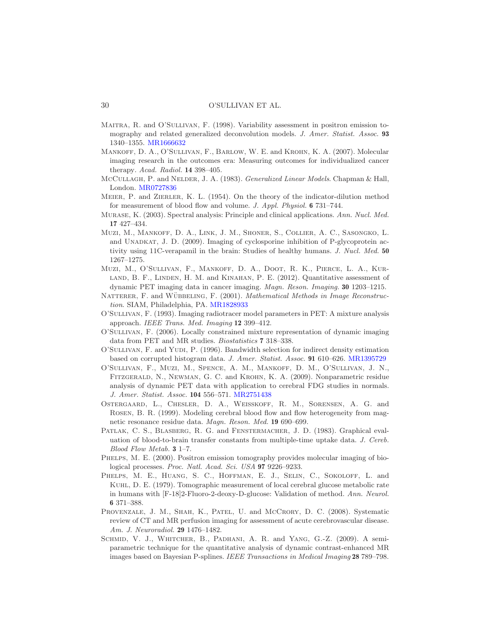- <span id="page-29-14"></span>Maitra, R. and O'Sullivan, F. (1998). Variability assessment in positron emission tomography and related generalized deconvolution models. J. Amer. Statist. Assoc. 93 1340–1355. [MR1666632](http://www.ams.org/mathscinet-getitem?mr=1666632)
- <span id="page-29-16"></span>MANKOFF, D. A., O'SULLIVAN, F., BARLOW, W. E. and KROHN, K. A. (2007). Molecular imaging research in the outcomes era: Measuring outcomes for individualized cancer therapy. Acad. Radiol. 14 398–405.
- <span id="page-29-12"></span>McCuLLAGH, P. and NELDER, J. A. (1983). Generalized Linear Models. Chapman & Hall, London. [MR0727836](http://www.ams.org/mathscinet-getitem?mr=0727836)
- <span id="page-29-4"></span>MEIER, P. and ZIERLER, K. L. (1954). On the theory of the indicator-dilution method for measurement of blood flow and volume. J. Appl. Physiol. 6 731–744.
- <span id="page-29-1"></span>Murase, K. (2003). Spectral analysis: Principle and clinical applications. Ann. Nucl. Med. 17 427–434.
- <span id="page-29-15"></span>Muzi, M., Mankoff, D. A., Link, J. M., Shoner, S., Collier, A. C., Sasongko, L. and UNADKAT, J. D. (2009). Imaging of cyclosporine inhibition of P-glycoprotein activity using 11C-verapamil in the brain: Studies of healthy humans. J. Nucl. Med. 50 1267–1275.
- <span id="page-29-3"></span>Muzi, M., O'Sullivan, F., Mankoff, D. A., Doot, R. K., Pierce, L. A., Kur-LAND, B. F., LINDEN, H. M. and KINAHAN, P. E. (2012). Quantitative assessment of dynamic PET imaging data in cancer imaging. Magn. Reson. Imaging. 30 1203–1215.
- <span id="page-29-13"></span>NATTERER, F. and WÜBBELING, F. (2001). Mathematical Methods in Image Reconstruction. SIAM, Philadelphia, PA. [MR1828933](http://www.ams.org/mathscinet-getitem?mr=1828933)
- <span id="page-29-2"></span>O'Sullivan, F. (1993). Imaging radiotracer model parameters in PET: A mixture analysis approach. IEEE Trans. Med. Imaging 12 399–412.
- <span id="page-29-10"></span>O'Sullivan, F. (2006). Locally constrained mixture representation of dynamic imaging data from PET and MR studies. Biostatistics 7 318–338.
- <span id="page-29-11"></span>O'Sullivan, F. and Yudi, P. (1996). Bandwidth selection for indirect density estimation based on corrupted histogram data. J. Amer. Statist. Assoc. 91 610–626. [MR1395729](http://www.ams.org/mathscinet-getitem?mr=1395729)
- <span id="page-29-6"></span>O'Sullivan, F., Muzi, M., Spence, A. M., Mankoff, D. M., O'Sullivan, J. N., Fitzgerald, N., Newman, G. C. and Krohn, K. A. (2009). Nonparametric residue analysis of dynamic PET data with application to cerebral FDG studies in normals. J. Amer. Statist. Assoc. 104 556–571. [MR2751438](http://www.ams.org/mathscinet-getitem?mr=2751438)
- <span id="page-29-5"></span>Ostergaard, L., Chesler, D. A., Weisskoff, R. M., Sorensen, A. G. and ROSEN, B. R. (1999). Modeling cerebral blood flow and flow heterogeneity from magnetic resonance residue data. Magn. Reson. Med. 19 690–699.
- <span id="page-29-9"></span>PATLAK, C. S., BLASBERG, R. G. and FENSTERMACHER, J. D. (1983). Graphical evaluation of blood-to-brain transfer constants from multiple-time uptake data. J. Cereb. Blood Flow Metab. 3 1–7.
- <span id="page-29-0"></span>PHELPS, M. E. (2000). Positron emission tomography provides molecular imaging of biological processes. Proc. Natl. Acad. Sci. USA 97 9226–9233.
- <span id="page-29-8"></span>PHELPS, M. E., HUANG, S. C., HOFFMAN, E. J., SELIN, C., SOKOLOFF, L. and Kuhl, D. E. (1979). Tomographic measurement of local cerebral glucose metabolic rate in humans with [F-18]2-Fluoro-2-deoxy-D-glucose: Validation of method. Ann. Neurol. 6 371–388.
- <span id="page-29-7"></span>PROVENZALE, J. M., SHAH, K., PATEL, U. and McCRORY, D. C. (2008). Systematic review of CT and MR perfusion imaging for assessment of acute cerebrovascular disease. Am. J. Neuroradiol. 29 1476–1482.
- <span id="page-29-17"></span>Schmid, V. J., Whitcher, B., Padhani, A. R. and Yang, G.-Z. (2009). A semiparametric technique for the quantitative analysis of dynamic contrast-enhanced MR images based on Bayesian P-splines. IEEE Transactions in Medical Imaging 28 789–798.